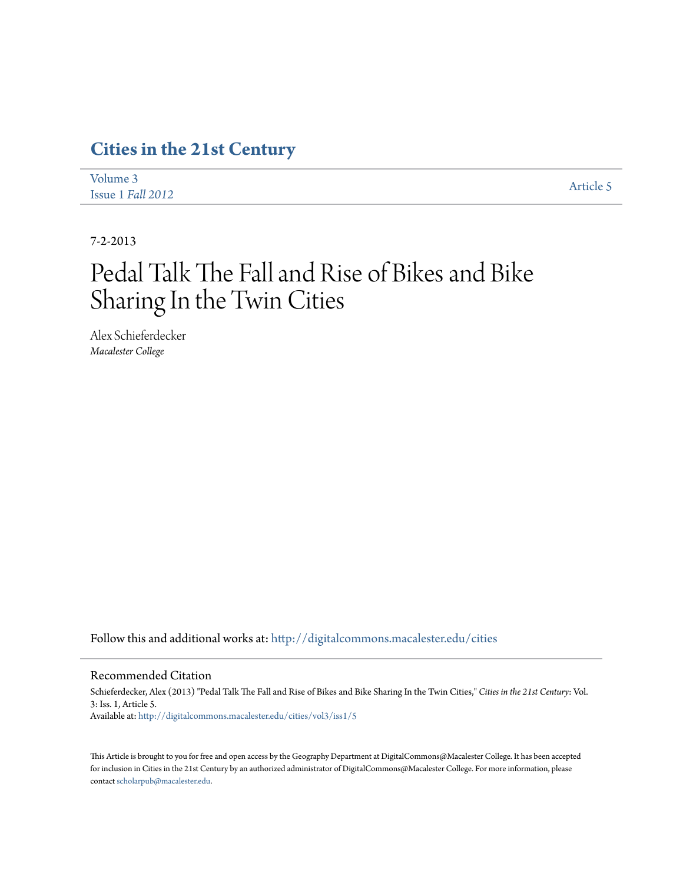## **[Cities in the 21st Century](http://digitalcommons.macalester.edu/cities?utm_source=digitalcommons.macalester.edu%2Fcities%2Fvol3%2Fiss1%2F5&utm_medium=PDF&utm_campaign=PDFCoverPages)**

| Volume 3          | Article 5 |
|-------------------|-----------|
| Issue 1 Fall 2012 |           |

7-2-2013

# Pedal Talk The Fall and Rise of Bikes and Bike Sharing In the Twin Cities

Alex Schieferdecker *Macalester College*

Follow this and additional works at: [http://digitalcommons.macalester.edu/cities](http://digitalcommons.macalester.edu/cities?utm_source=digitalcommons.macalester.edu%2Fcities%2Fvol3%2Fiss1%2F5&utm_medium=PDF&utm_campaign=PDFCoverPages)

#### Recommended Citation

Schieferdecker, Alex (2013) "Pedal Talk The Fall and Rise of Bikes and Bike Sharing In the Twin Cities," *Cities in the 21st Century*: Vol. 3: Iss. 1, Article 5. Available at: [http://digitalcommons.macalester.edu/cities/vol3/iss1/5](http://digitalcommons.macalester.edu/cities/vol3/iss1/5?utm_source=digitalcommons.macalester.edu%2Fcities%2Fvol3%2Fiss1%2F5&utm_medium=PDF&utm_campaign=PDFCoverPages)

This Article is brought to you for free and open access by the Geography Department at DigitalCommons@Macalester College. It has been accepted for inclusion in Cities in the 21st Century by an authorized administrator of DigitalCommons@Macalester College. For more information, please contact [scholarpub@macalester.edu.](mailto:scholarpub@macalester.edu)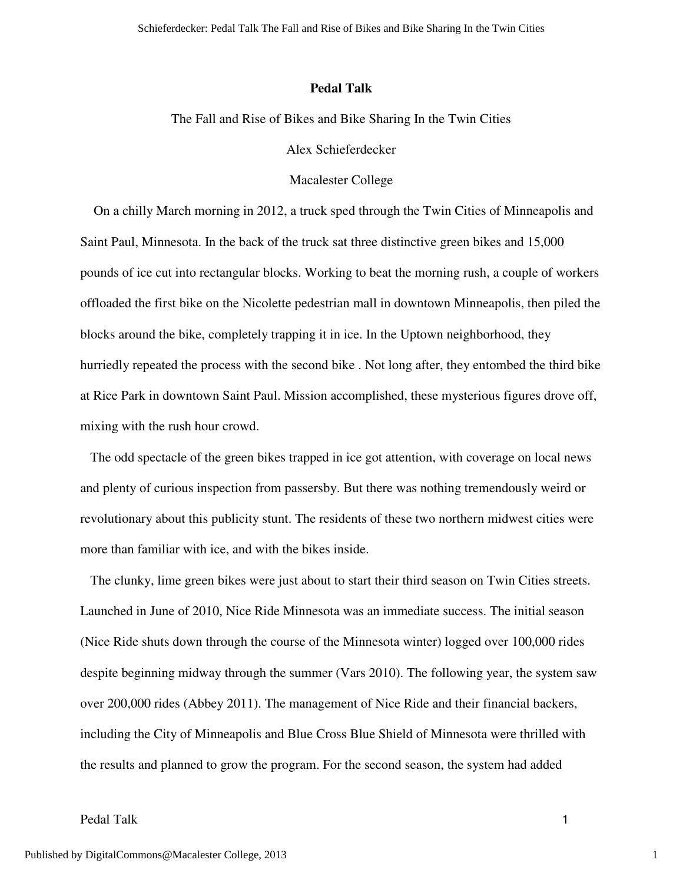#### **Pedal Talk**

The Fall and Rise of Bikes and Bike Sharing In the Twin Cities

Alex Schieferdecker

#### Macalester College

 On a chilly March morning in 2012, a truck sped through the Twin Cities of Minneapolis and Saint Paul, Minnesota. In the back of the truck sat three distinctive green bikes and 15,000 pounds of ice cut into rectangular blocks. Working to beat the morning rush, a couple of workers offloaded the first bike on the Nicolette pedestrian mall in downtown Minneapolis, then piled the blocks around the bike, completely trapping it in ice. In the Uptown neighborhood, they hurriedly repeated the process with the second bike . Not long after, they entombed the third bike at Rice Park in downtown Saint Paul. Mission accomplished, these mysterious figures drove off, mixing with the rush hour crowd.

 The odd spectacle of the green bikes trapped in ice got attention, with coverage on local news and plenty of curious inspection from passersby. But there was nothing tremendously weird or revolutionary about this publicity stunt. The residents of these two northern midwest cities were more than familiar with ice, and with the bikes inside.

 The clunky, lime green bikes were just about to start their third season on Twin Cities streets. Launched in June of 2010, Nice Ride Minnesota was an immediate success. The initial season (Nice Ride shuts down through the course of the Minnesota winter) logged over 100,000 rides despite beginning midway through the summer (Vars 2010). The following year, the system saw over 200,000 rides (Abbey 2011). The management of Nice Ride and their financial backers, including the City of Minneapolis and Blue Cross Blue Shield of Minnesota were thrilled with the results and planned to grow the program. For the second season, the system had added

## Pedal Talk 1

1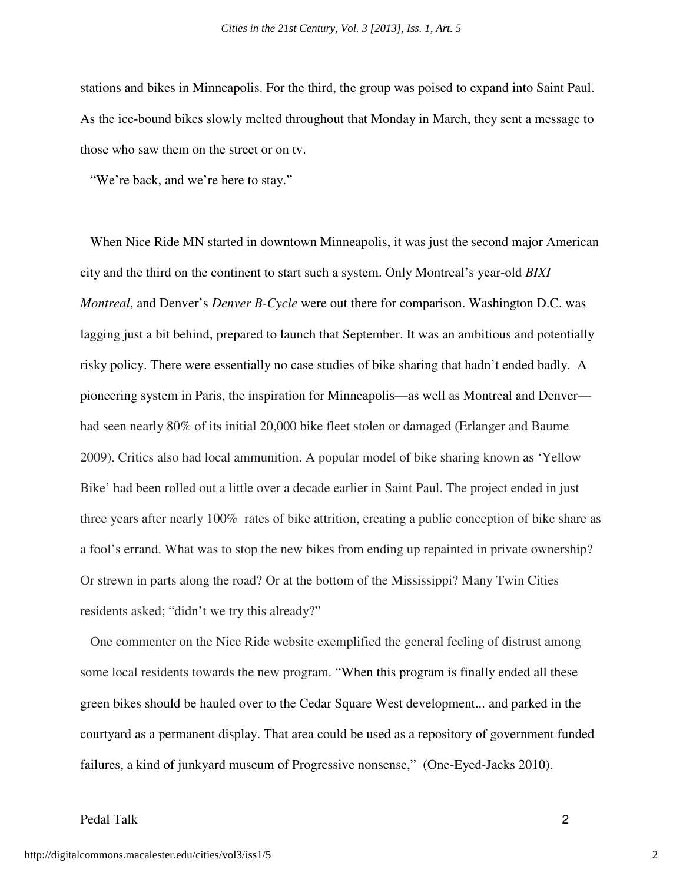stations and bikes in Minneapolis. For the third, the group was poised to expand into Saint Paul. As the ice-bound bikes slowly melted throughout that Monday in March, they sent a message to those who saw them on the street or on tv.

"We're back, and we're here to stay."

 When Nice Ride MN started in downtown Minneapolis, it was just the second major American city and the third on the continent to start such a system. Only Montreal's year-old *BIXI Montreal*, and Denver's *Denver B-Cycle* were out there for comparison. Washington D.C. was lagging just a bit behind, prepared to launch that September. It was an ambitious and potentially risky policy. There were essentially no case studies of bike sharing that hadn't ended badly. A pioneering system in Paris, the inspiration for Minneapolis—as well as Montreal and Denver had seen nearly 80% of its initial 20,000 bike fleet stolen or damaged (Erlanger and Baume 2009). Critics also had local ammunition. A popular model of bike sharing known as 'Yellow Bike' had been rolled out a little over a decade earlier in Saint Paul. The project ended in just three years after nearly 100% rates of bike attrition, creating a public conception of bike share as a fool's errand. What was to stop the new bikes from ending up repainted in private ownership? Or strewn in parts along the road? Or at the bottom of the Mississippi? Many Twin Cities residents asked; "didn't we try this already?"

 One commenter on the Nice Ride website exemplified the general feeling of distrust among some local residents towards the new program. "When this program is finally ended all these green bikes should be hauled over to the Cedar Square West development... and parked in the courtyard as a permanent display. That area could be used as a repository of government funded failures, a kind of junkyard museum of Progressive nonsense," (One-Eyed-Jacks 2010).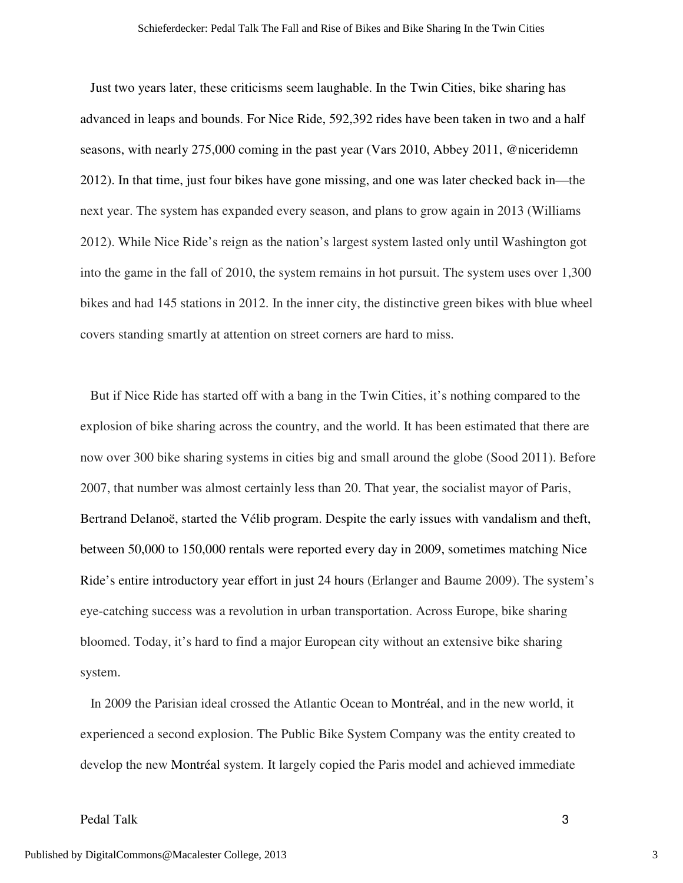Just two years later, these criticisms seem laughable. In the Twin Cities, bike sharing has advanced in leaps and bounds. For Nice Ride, 592,392 rides have been taken in two and a half seasons, with nearly 275,000 coming in the past year (Vars 2010, Abbey 2011, @niceridemn 2012). In that time, just four bikes have gone missing, and one was later checked back in—the next year. The system has expanded every season, and plans to grow again in 2013 (Williams 2012). While Nice Ride's reign as the nation's largest system lasted only until Washington got into the game in the fall of 2010, the system remains in hot pursuit. The system uses over 1,300 bikes and had 145 stations in 2012. In the inner city, the distinctive green bikes with blue wheel covers standing smartly at attention on street corners are hard to miss.

 But if Nice Ride has started off with a bang in the Twin Cities, it's nothing compared to the explosion of bike sharing across the country, and the world. It has been estimated that there are now over 300 bike sharing systems in cities big and small around the globe (Sood 2011). Before 2007, that number was almost certainly less than 20. That year, the socialist mayor of Paris, Bertrand Delanoë, started the Vélib program. Despite the early issues with vandalism and theft, between 50,000 to 150,000 rentals were reported every day in 2009, sometimes matching Nice Ride's entire introductory year effort in just 24 hours (Erlanger and Baume 2009). The system's eye-catching success was a revolution in urban transportation. Across Europe, bike sharing bloomed. Today, it's hard to find a major European city without an extensive bike sharing system.

 In 2009 the Parisian ideal crossed the Atlantic Ocean to Montréal, and in the new world, it experienced a second explosion. The Public Bike System Company was the entity created to develop the new Montréal system. It largely copied the Paris model and achieved immediate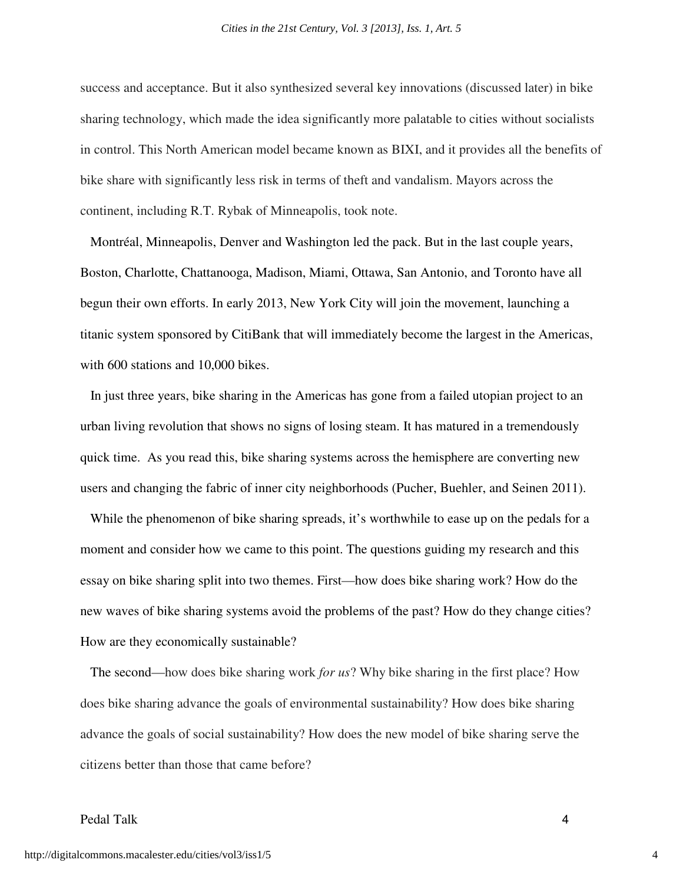success and acceptance. But it also synthesized several key innovations (discussed later) in bike sharing technology, which made the idea significantly more palatable to cities without socialists in control. This North American model became known as BIXI, and it provides all the benefits of bike share with significantly less risk in terms of theft and vandalism. Mayors across the continent, including R.T. Rybak of Minneapolis, took note.

 Montréal, Minneapolis, Denver and Washington led the pack. But in the last couple years, Boston, Charlotte, Chattanooga, Madison, Miami, Ottawa, San Antonio, and Toronto have all begun their own efforts. In early 2013, New York City will join the movement, launching a titanic system sponsored by CitiBank that will immediately become the largest in the Americas, with 600 stations and 10,000 bikes.

 In just three years, bike sharing in the Americas has gone from a failed utopian project to an urban living revolution that shows no signs of losing steam. It has matured in a tremendously quick time. As you read this, bike sharing systems across the hemisphere are converting new users and changing the fabric of inner city neighborhoods (Pucher, Buehler, and Seinen 2011).

 While the phenomenon of bike sharing spreads, it's worthwhile to ease up on the pedals for a moment and consider how we came to this point. The questions guiding my research and this essay on bike sharing split into two themes. First—how does bike sharing work? How do the new waves of bike sharing systems avoid the problems of the past? How do they change cities? How are they economically sustainable?

 The second—how does bike sharing work *for us*? Why bike sharing in the first place? How does bike sharing advance the goals of environmental sustainability? How does bike sharing advance the goals of social sustainability? How does the new model of bike sharing serve the citizens better than those that came before?

## Pedal Talk 4

4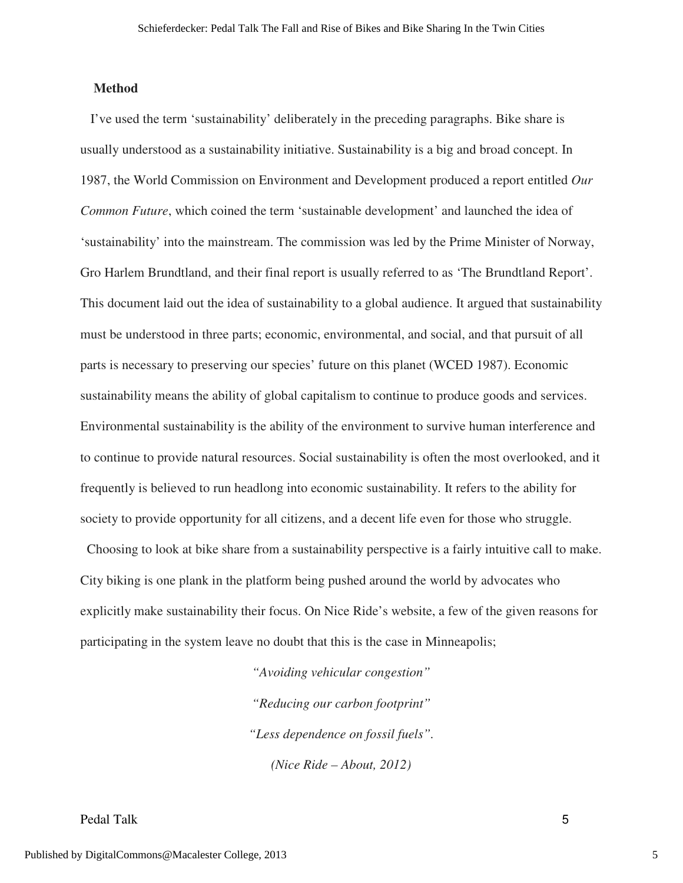#### **Method**

 I've used the term 'sustainability' deliberately in the preceding paragraphs. Bike share is usually understood as a sustainability initiative. Sustainability is a big and broad concept. In 1987, the World Commission on Environment and Development produced a report entitled *Our Common Future*, which coined the term 'sustainable development' and launched the idea of 'sustainability' into the mainstream. The commission was led by the Prime Minister of Norway, Gro Harlem Brundtland, and their final report is usually referred to as 'The Brundtland Report'. This document laid out the idea of sustainability to a global audience. It argued that sustainability must be understood in three parts; economic, environmental, and social, and that pursuit of all parts is necessary to preserving our species' future on this planet (WCED 1987). Economic sustainability means the ability of global capitalism to continue to produce goods and services. Environmental sustainability is the ability of the environment to survive human interference and to continue to provide natural resources. Social sustainability is often the most overlooked, and it frequently is believed to run headlong into economic sustainability. It refers to the ability for society to provide opportunity for all citizens, and a decent life even for those who struggle.

 Choosing to look at bike share from a sustainability perspective is a fairly intuitive call to make. City biking is one plank in the platform being pushed around the world by advocates who explicitly make sustainability their focus. On Nice Ride's website, a few of the given reasons for participating in the system leave no doubt that this is the case in Minneapolis;

> *"Avoiding vehicular congestion" "Reducing our carbon footprint" "Less dependence on fossil fuels". (Nice Ride – About, 2012)*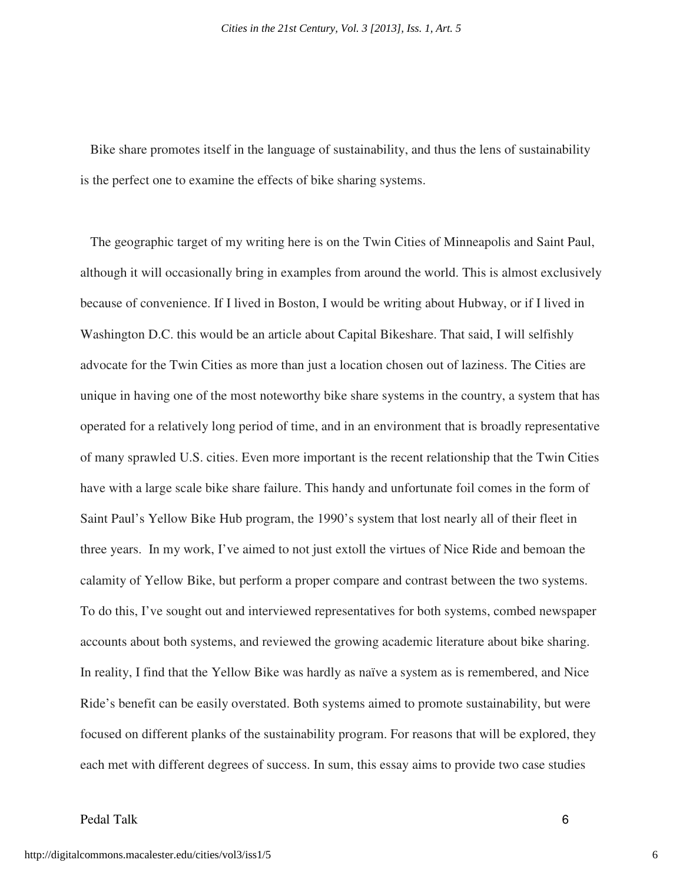Bike share promotes itself in the language of sustainability, and thus the lens of sustainability is the perfect one to examine the effects of bike sharing systems.

 The geographic target of my writing here is on the Twin Cities of Minneapolis and Saint Paul, although it will occasionally bring in examples from around the world. This is almost exclusively because of convenience. If I lived in Boston, I would be writing about Hubway, or if I lived in Washington D.C. this would be an article about Capital Bikeshare. That said, I will selfishly advocate for the Twin Cities as more than just a location chosen out of laziness. The Cities are unique in having one of the most noteworthy bike share systems in the country, a system that has operated for a relatively long period of time, and in an environment that is broadly representative of many sprawled U.S. cities. Even more important is the recent relationship that the Twin Cities have with a large scale bike share failure. This handy and unfortunate foil comes in the form of Saint Paul's Yellow Bike Hub program, the 1990's system that lost nearly all of their fleet in three years. In my work, I've aimed to not just extoll the virtues of Nice Ride and bemoan the calamity of Yellow Bike, but perform a proper compare and contrast between the two systems. To do this, I've sought out and interviewed representatives for both systems, combed newspaper accounts about both systems, and reviewed the growing academic literature about bike sharing. In reality, I find that the Yellow Bike was hardly as naïve a system as is remembered, and Nice Ride's benefit can be easily overstated. Both systems aimed to promote sustainability, but were focused on different planks of the sustainability program. For reasons that will be explored, they each met with different degrees of success. In sum, this essay aims to provide two case studies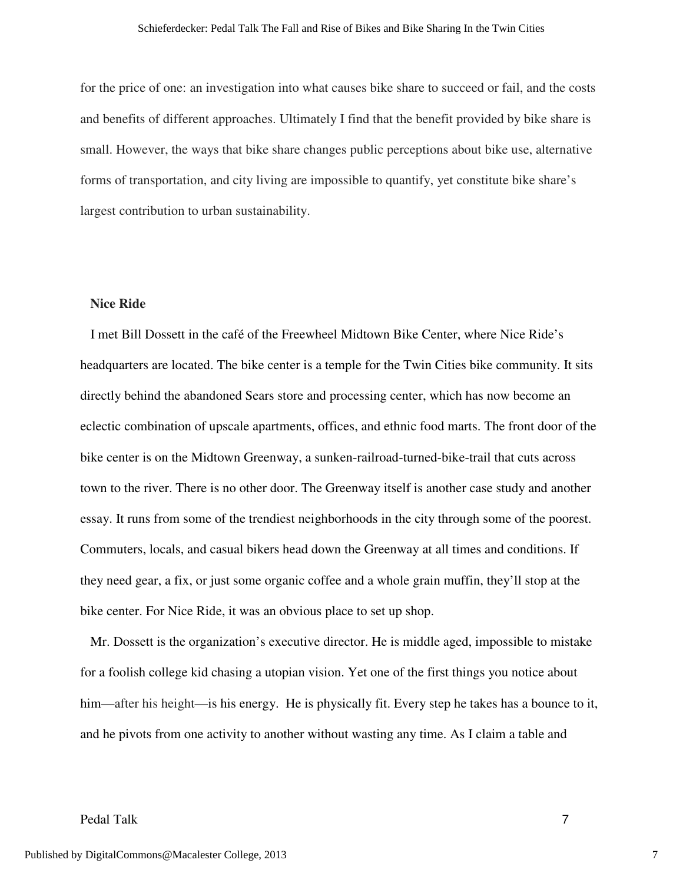for the price of one: an investigation into what causes bike share to succeed or fail, and the costs and benefits of different approaches. Ultimately I find that the benefit provided by bike share is small. However, the ways that bike share changes public perceptions about bike use, alternative forms of transportation, and city living are impossible to quantify, yet constitute bike share's largest contribution to urban sustainability.

#### **Nice Ride**

 I met Bill Dossett in the café of the Freewheel Midtown Bike Center, where Nice Ride's headquarters are located. The bike center is a temple for the Twin Cities bike community. It sits directly behind the abandoned Sears store and processing center, which has now become an eclectic combination of upscale apartments, offices, and ethnic food marts. The front door of the bike center is on the Midtown Greenway, a sunken-railroad-turned-bike-trail that cuts across town to the river. There is no other door. The Greenway itself is another case study and another essay. It runs from some of the trendiest neighborhoods in the city through some of the poorest. Commuters, locals, and casual bikers head down the Greenway at all times and conditions. If they need gear, a fix, or just some organic coffee and a whole grain muffin, they'll stop at the bike center. For Nice Ride, it was an obvious place to set up shop.

 Mr. Dossett is the organization's executive director. He is middle aged, impossible to mistake for a foolish college kid chasing a utopian vision. Yet one of the first things you notice about him—after his height—is his energy. He is physically fit. Every step he takes has a bounce to it, and he pivots from one activity to another without wasting any time. As I claim a table and

## Pedal Talk 7

7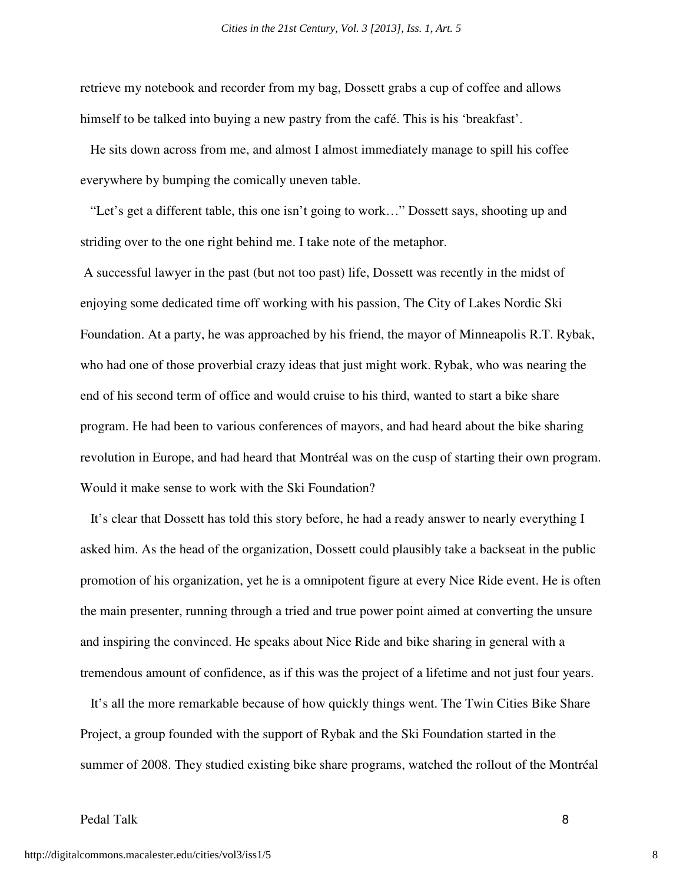retrieve my notebook and recorder from my bag, Dossett grabs a cup of coffee and allows himself to be talked into buying a new pastry from the café. This is his 'breakfast'.

 He sits down across from me, and almost I almost immediately manage to spill his coffee everywhere by bumping the comically uneven table.

 "Let's get a different table, this one isn't going to work…" Dossett says, shooting up and striding over to the one right behind me. I take note of the metaphor.

 A successful lawyer in the past (but not too past) life, Dossett was recently in the midst of enjoying some dedicated time off working with his passion, The City of Lakes Nordic Ski Foundation. At a party, he was approached by his friend, the mayor of Minneapolis R.T. Rybak, who had one of those proverbial crazy ideas that just might work. Rybak, who was nearing the end of his second term of office and would cruise to his third, wanted to start a bike share program. He had been to various conferences of mayors, and had heard about the bike sharing revolution in Europe, and had heard that Montréal was on the cusp of starting their own program. Would it make sense to work with the Ski Foundation?

 It's clear that Dossett has told this story before, he had a ready answer to nearly everything I asked him. As the head of the organization, Dossett could plausibly take a backseat in the public promotion of his organization, yet he is a omnipotent figure at every Nice Ride event. He is often the main presenter, running through a tried and true power point aimed at converting the unsure and inspiring the convinced. He speaks about Nice Ride and bike sharing in general with a tremendous amount of confidence, as if this was the project of a lifetime and not just four years.

 It's all the more remarkable because of how quickly things went. The Twin Cities Bike Share Project, a group founded with the support of Rybak and the Ski Foundation started in the summer of 2008. They studied existing bike share programs, watched the rollout of the Montréal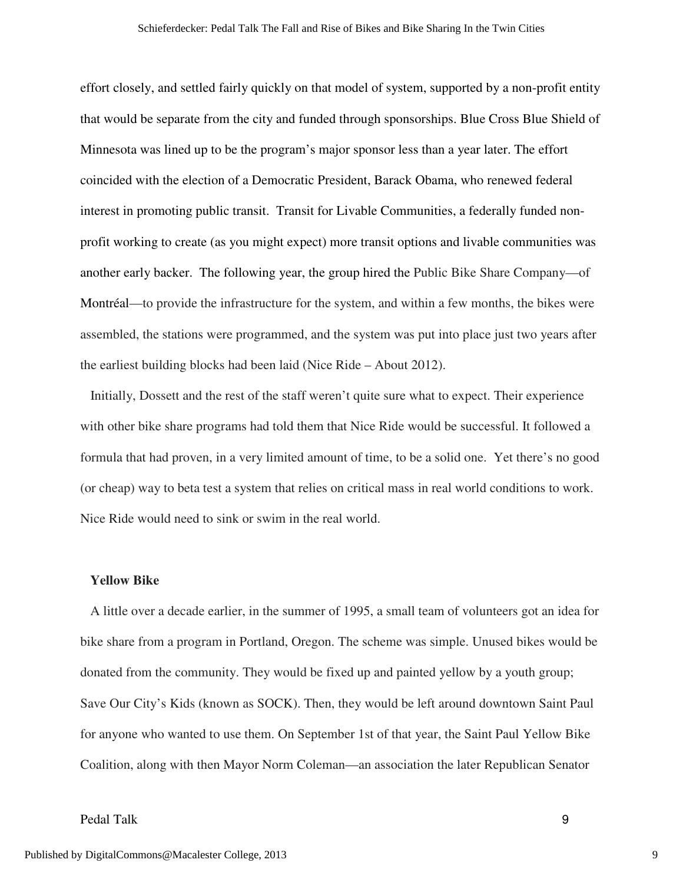effort closely, and settled fairly quickly on that model of system, supported by a non-profit entity that would be separate from the city and funded through sponsorships. Blue Cross Blue Shield of Minnesota was lined up to be the program's major sponsor less than a year later. The effort coincided with the election of a Democratic President, Barack Obama, who renewed federal interest in promoting public transit. Transit for Livable Communities, a federally funded nonprofit working to create (as you might expect) more transit options and livable communities was another early backer. The following year, the group hired the Public Bike Share Company—of Montréal—to provide the infrastructure for the system, and within a few months, the bikes were assembled, the stations were programmed, and the system was put into place just two years after the earliest building blocks had been laid (Nice Ride – About 2012).

 Initially, Dossett and the rest of the staff weren't quite sure what to expect. Their experience with other bike share programs had told them that Nice Ride would be successful. It followed a formula that had proven, in a very limited amount of time, to be a solid one. Yet there's no good (or cheap) way to beta test a system that relies on critical mass in real world conditions to work. Nice Ride would need to sink or swim in the real world.

#### **Yellow Bike**

 A little over a decade earlier, in the summer of 1995, a small team of volunteers got an idea for bike share from a program in Portland, Oregon. The scheme was simple. Unused bikes would be donated from the community. They would be fixed up and painted yellow by a youth group; Save Our City's Kids (known as SOCK). Then, they would be left around downtown Saint Paul for anyone who wanted to use them. On September 1st of that year, the Saint Paul Yellow Bike Coalition, along with then Mayor Norm Coleman—an association the later Republican Senator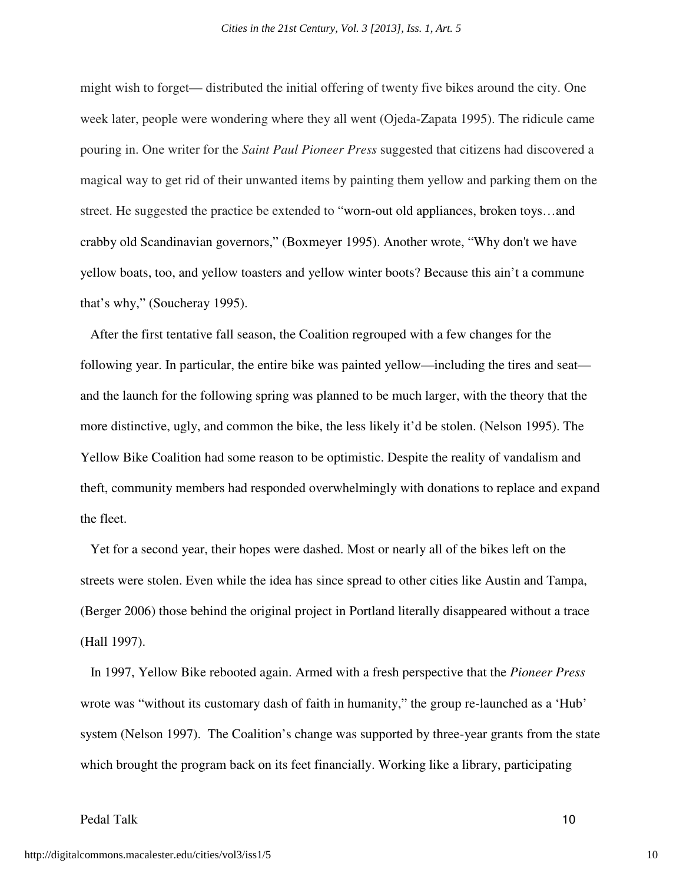might wish to forget— distributed the initial offering of twenty five bikes around the city. One week later, people were wondering where they all went (Ojeda-Zapata 1995). The ridicule came pouring in. One writer for the *Saint Paul Pioneer Press* suggested that citizens had discovered a magical way to get rid of their unwanted items by painting them yellow and parking them on the street. He suggested the practice be extended to "worn-out old appliances, broken toys…and crabby old Scandinavian governors," (Boxmeyer 1995). Another wrote, "Why don't we have yellow boats, too, and yellow toasters and yellow winter boots? Because this ain't a commune that's why," (Soucheray 1995).

 After the first tentative fall season, the Coalition regrouped with a few changes for the following year. In particular, the entire bike was painted yellow—including the tires and seat and the launch for the following spring was planned to be much larger, with the theory that the more distinctive, ugly, and common the bike, the less likely it'd be stolen. (Nelson 1995). The Yellow Bike Coalition had some reason to be optimistic. Despite the reality of vandalism and theft, community members had responded overwhelmingly with donations to replace and expand the fleet.

 Yet for a second year, their hopes were dashed. Most or nearly all of the bikes left on the streets were stolen. Even while the idea has since spread to other cities like Austin and Tampa, (Berger 2006) those behind the original project in Portland literally disappeared without a trace (Hall 1997).

 In 1997, Yellow Bike rebooted again. Armed with a fresh perspective that the *Pioneer Press* wrote was "without its customary dash of faith in humanity," the group re-launched as a 'Hub' system (Nelson 1997). The Coalition's change was supported by three-year grants from the state which brought the program back on its feet financially. Working like a library, participating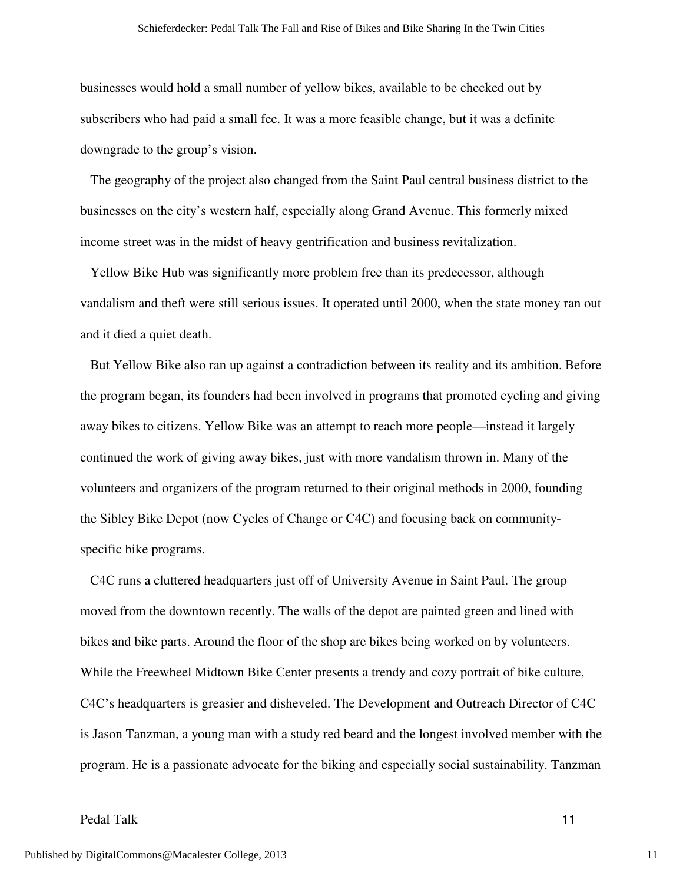businesses would hold a small number of yellow bikes, available to be checked out by subscribers who had paid a small fee. It was a more feasible change, but it was a definite downgrade to the group's vision.

 The geography of the project also changed from the Saint Paul central business district to the businesses on the city's western half, especially along Grand Avenue. This formerly mixed income street was in the midst of heavy gentrification and business revitalization.

 Yellow Bike Hub was significantly more problem free than its predecessor, although vandalism and theft were still serious issues. It operated until 2000, when the state money ran out and it died a quiet death.

 But Yellow Bike also ran up against a contradiction between its reality and its ambition. Before the program began, its founders had been involved in programs that promoted cycling and giving away bikes to citizens. Yellow Bike was an attempt to reach more people—instead it largely continued the work of giving away bikes, just with more vandalism thrown in. Many of the volunteers and organizers of the program returned to their original methods in 2000, founding the Sibley Bike Depot (now Cycles of Change or C4C) and focusing back on communityspecific bike programs.

 C4C runs a cluttered headquarters just off of University Avenue in Saint Paul. The group moved from the downtown recently. The walls of the depot are painted green and lined with bikes and bike parts. Around the floor of the shop are bikes being worked on by volunteers. While the Freewheel Midtown Bike Center presents a trendy and cozy portrait of bike culture, C4C's headquarters is greasier and disheveled. The Development and Outreach Director of C4C is Jason Tanzman, a young man with a study red beard and the longest involved member with the program. He is a passionate advocate for the biking and especially social sustainability. Tanzman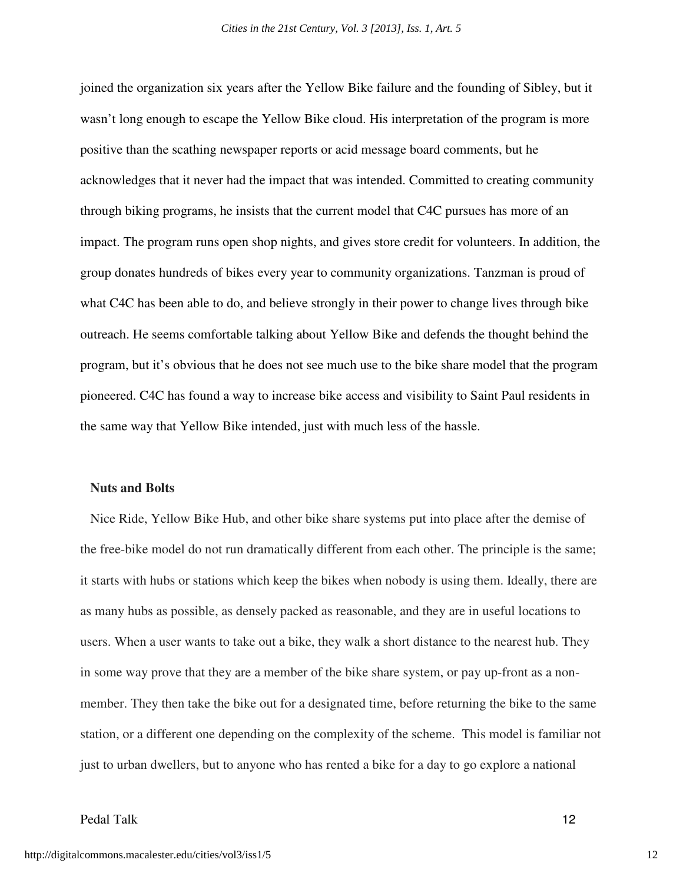joined the organization six years after the Yellow Bike failure and the founding of Sibley, but it wasn't long enough to escape the Yellow Bike cloud. His interpretation of the program is more positive than the scathing newspaper reports or acid message board comments, but he acknowledges that it never had the impact that was intended. Committed to creating community through biking programs, he insists that the current model that C4C pursues has more of an impact. The program runs open shop nights, and gives store credit for volunteers. In addition, the group donates hundreds of bikes every year to community organizations. Tanzman is proud of what C4C has been able to do, and believe strongly in their power to change lives through bike outreach. He seems comfortable talking about Yellow Bike and defends the thought behind the program, but it's obvious that he does not see much use to the bike share model that the program pioneered. C4C has found a way to increase bike access and visibility to Saint Paul residents in the same way that Yellow Bike intended, just with much less of the hassle.

#### **Nuts and Bolts**

 Nice Ride, Yellow Bike Hub, and other bike share systems put into place after the demise of the free-bike model do not run dramatically different from each other. The principle is the same; it starts with hubs or stations which keep the bikes when nobody is using them. Ideally, there are as many hubs as possible, as densely packed as reasonable, and they are in useful locations to users. When a user wants to take out a bike, they walk a short distance to the nearest hub. They in some way prove that they are a member of the bike share system, or pay up-front as a nonmember. They then take the bike out for a designated time, before returning the bike to the same station, or a different one depending on the complexity of the scheme. This model is familiar not just to urban dwellers, but to anyone who has rented a bike for a day to go explore a national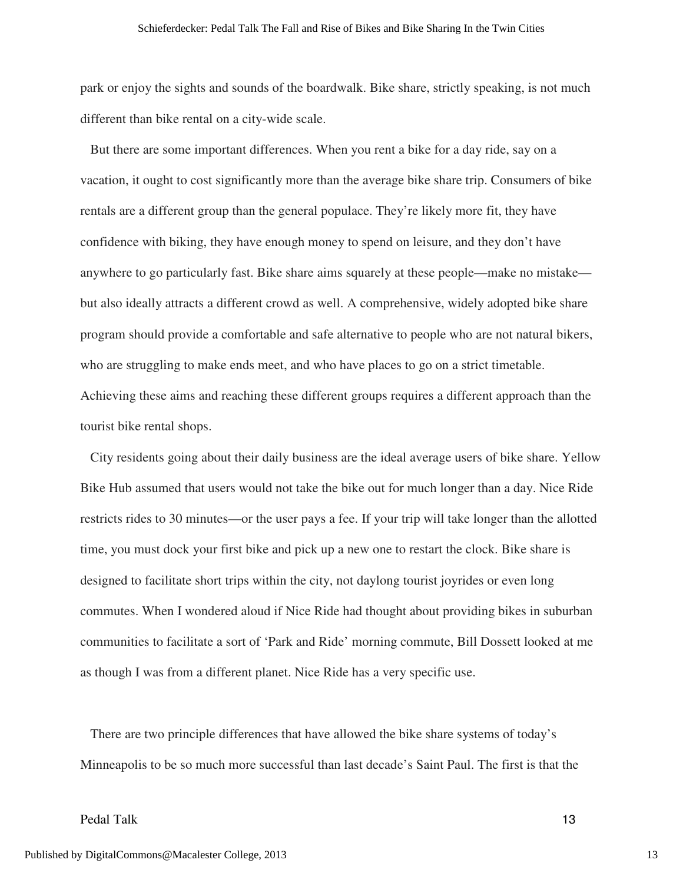park or enjoy the sights and sounds of the boardwalk. Bike share, strictly speaking, is not much different than bike rental on a city-wide scale.

 But there are some important differences. When you rent a bike for a day ride, say on a vacation, it ought to cost significantly more than the average bike share trip. Consumers of bike rentals are a different group than the general populace. They're likely more fit, they have confidence with biking, they have enough money to spend on leisure, and they don't have anywhere to go particularly fast. Bike share aims squarely at these people—make no mistake but also ideally attracts a different crowd as well. A comprehensive, widely adopted bike share program should provide a comfortable and safe alternative to people who are not natural bikers, who are struggling to make ends meet, and who have places to go on a strict timetable. Achieving these aims and reaching these different groups requires a different approach than the tourist bike rental shops.

 City residents going about their daily business are the ideal average users of bike share. Yellow Bike Hub assumed that users would not take the bike out for much longer than a day. Nice Ride restricts rides to 30 minutes—or the user pays a fee. If your trip will take longer than the allotted time, you must dock your first bike and pick up a new one to restart the clock. Bike share is designed to facilitate short trips within the city, not daylong tourist joyrides or even long commutes. When I wondered aloud if Nice Ride had thought about providing bikes in suburban communities to facilitate a sort of 'Park and Ride' morning commute, Bill Dossett looked at me as though I was from a different planet. Nice Ride has a very specific use.

 There are two principle differences that have allowed the bike share systems of today's Minneapolis to be so much more successful than last decade's Saint Paul. The first is that the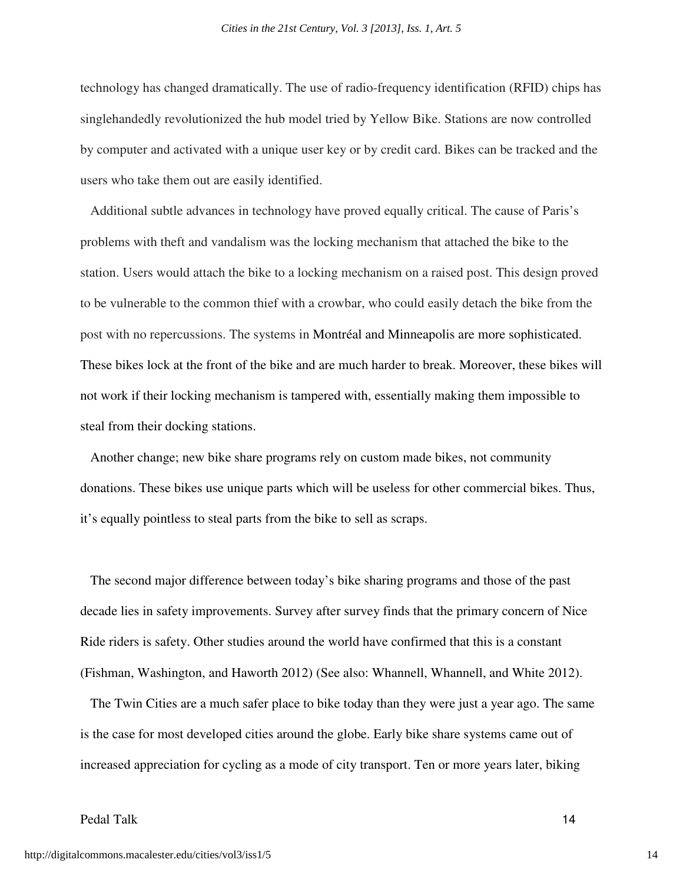technology has changed dramatically. The use of radio-frequency identification (RFID) chips has singlehandedly revolutionized the hub model tried by Yellow Bike. Stations are now controlled by computer and activated with a unique user key or by credit card. Bikes can be tracked and the users who take them out are easily identified.

 Additional subtle advances in technology have proved equally critical. The cause of Paris's problems with theft and vandalism was the locking mechanism that attached the bike to the station. Users would attach the bike to a locking mechanism on a raised post. This design proved to be vulnerable to the common thief with a crowbar, who could easily detach the bike from the post with no repercussions. The systems in Montréal and Minneapolis are more sophisticated. These bikes lock at the front of the bike and are much harder to break. Moreover, these bikes will not work if their locking mechanism is tampered with, essentially making them impossible to steal from their docking stations.

 Another change; new bike share programs rely on custom made bikes, not community donations. These bikes use unique parts which will be useless for other commercial bikes. Thus, it's equally pointless to steal parts from the bike to sell as scraps.

 The second major difference between today's bike sharing programs and those of the past decade lies in safety improvements. Survey after survey finds that the primary concern of Nice Ride riders is safety. Other studies around the world have confirmed that this is a constant (Fishman, Washington, and Haworth 2012) (See also: Whannell, Whannell, and White 2012).

 The Twin Cities are a much safer place to bike today than they were just a year ago. The same is the case for most developed cities around the globe. Early bike share systems came out of increased appreciation for cycling as a mode of city transport. Ten or more years later, biking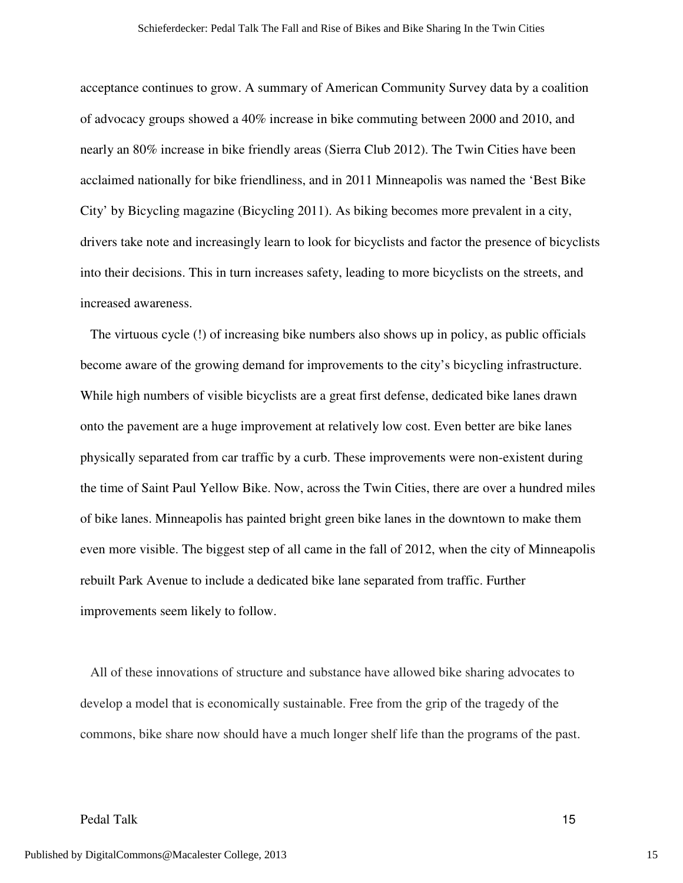acceptance continues to grow. A summary of American Community Survey data by a coalition of advocacy groups showed a 40% increase in bike commuting between 2000 and 2010, and nearly an 80% increase in bike friendly areas (Sierra Club 2012). The Twin Cities have been acclaimed nationally for bike friendliness, and in 2011 Minneapolis was named the 'Best Bike City' by Bicycling magazine (Bicycling 2011). As biking becomes more prevalent in a city, drivers take note and increasingly learn to look for bicyclists and factor the presence of bicyclists into their decisions. This in turn increases safety, leading to more bicyclists on the streets, and increased awareness.

 The virtuous cycle (!) of increasing bike numbers also shows up in policy, as public officials become aware of the growing demand for improvements to the city's bicycling infrastructure. While high numbers of visible bicyclists are a great first defense, dedicated bike lanes drawn onto the pavement are a huge improvement at relatively low cost. Even better are bike lanes physically separated from car traffic by a curb. These improvements were non-existent during the time of Saint Paul Yellow Bike. Now, across the Twin Cities, there are over a hundred miles of bike lanes. Minneapolis has painted bright green bike lanes in the downtown to make them even more visible. The biggest step of all came in the fall of 2012, when the city of Minneapolis rebuilt Park Avenue to include a dedicated bike lane separated from traffic. Further improvements seem likely to follow.

 All of these innovations of structure and substance have allowed bike sharing advocates to develop a model that is economically sustainable. Free from the grip of the tragedy of the commons, bike share now should have a much longer shelf life than the programs of the past.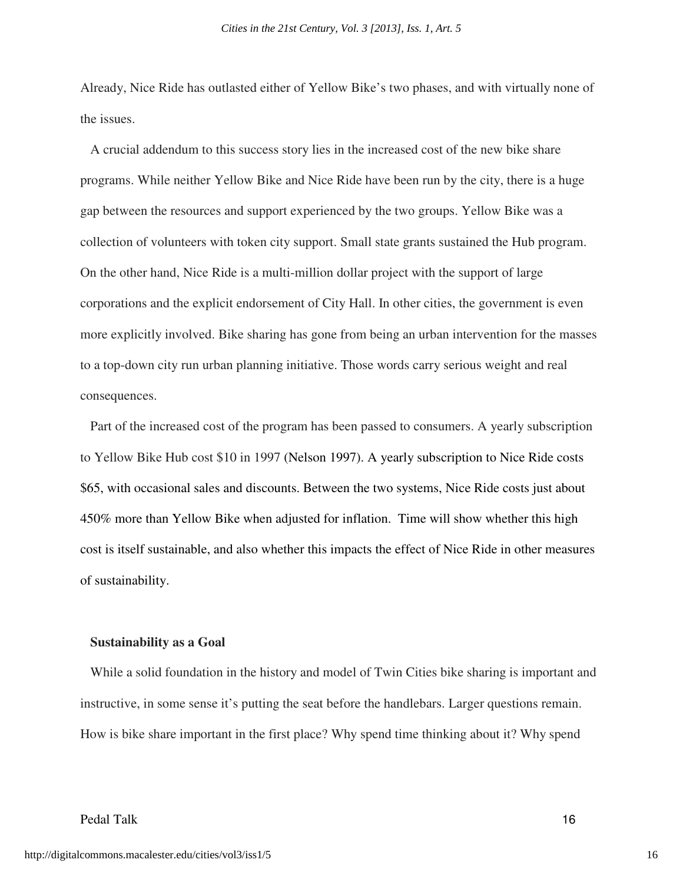Already, Nice Ride has outlasted either of Yellow Bike's two phases, and with virtually none of the issues.

 A crucial addendum to this success story lies in the increased cost of the new bike share programs. While neither Yellow Bike and Nice Ride have been run by the city, there is a huge gap between the resources and support experienced by the two groups. Yellow Bike was a collection of volunteers with token city support. Small state grants sustained the Hub program. On the other hand, Nice Ride is a multi-million dollar project with the support of large corporations and the explicit endorsement of City Hall. In other cities, the government is even more explicitly involved. Bike sharing has gone from being an urban intervention for the masses to a top-down city run urban planning initiative. Those words carry serious weight and real consequences.

 Part of the increased cost of the program has been passed to consumers. A yearly subscription to Yellow Bike Hub cost \$10 in 1997 (Nelson 1997). A yearly subscription to Nice Ride costs \$65, with occasional sales and discounts. Between the two systems, Nice Ride costs just about 450% more than Yellow Bike when adjusted for inflation. Time will show whether this high cost is itself sustainable, and also whether this impacts the effect of Nice Ride in other measures of sustainability.

#### **Sustainability as a Goal**

While a solid foundation in the history and model of Twin Cities bike sharing is important and instructive, in some sense it's putting the seat before the handlebars. Larger questions remain. How is bike share important in the first place? Why spend time thinking about it? Why spend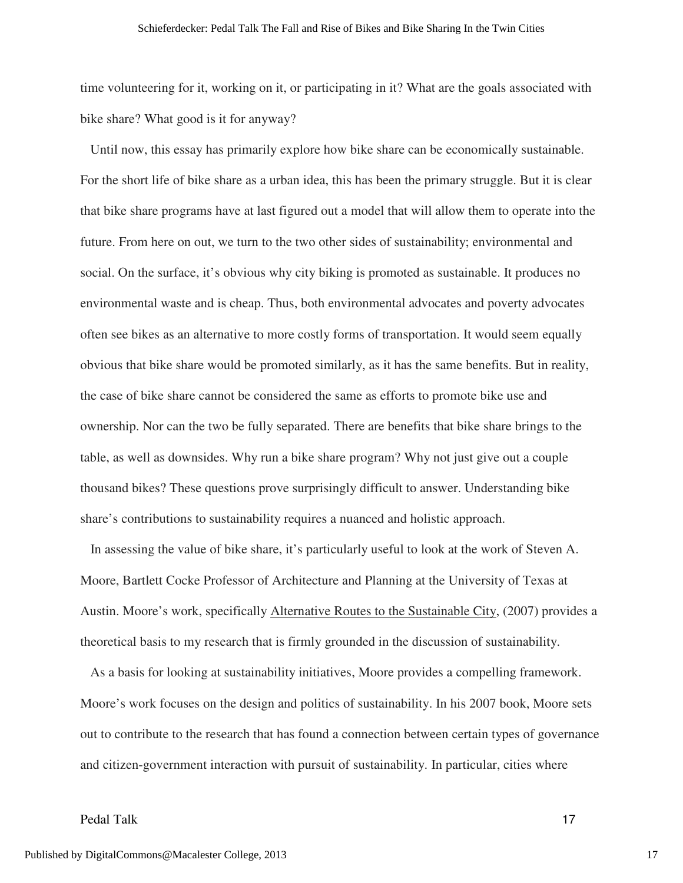time volunteering for it, working on it, or participating in it? What are the goals associated with bike share? What good is it for anyway?

 Until now, this essay has primarily explore how bike share can be economically sustainable. For the short life of bike share as a urban idea, this has been the primary struggle. But it is clear that bike share programs have at last figured out a model that will allow them to operate into the future. From here on out, we turn to the two other sides of sustainability; environmental and social. On the surface, it's obvious why city biking is promoted as sustainable. It produces no environmental waste and is cheap. Thus, both environmental advocates and poverty advocates often see bikes as an alternative to more costly forms of transportation. It would seem equally obvious that bike share would be promoted similarly, as it has the same benefits. But in reality, the case of bike share cannot be considered the same as efforts to promote bike use and ownership. Nor can the two be fully separated. There are benefits that bike share brings to the table, as well as downsides. Why run a bike share program? Why not just give out a couple thousand bikes? These questions prove surprisingly difficult to answer. Understanding bike share's contributions to sustainability requires a nuanced and holistic approach.

 In assessing the value of bike share, it's particularly useful to look at the work of Steven A. Moore, Bartlett Cocke Professor of Architecture and Planning at the University of Texas at Austin. Moore's work, specifically Alternative Routes to the Sustainable City, (2007) provides a theoretical basis to my research that is firmly grounded in the discussion of sustainability.

As a basis for looking at sustainability initiatives, Moore provides a compelling framework. Moore's work focuses on the design and politics of sustainability. In his 2007 book, Moore sets out to contribute to the research that has found a connection between certain types of governance and citizen-government interaction with pursuit of sustainability. In particular, cities where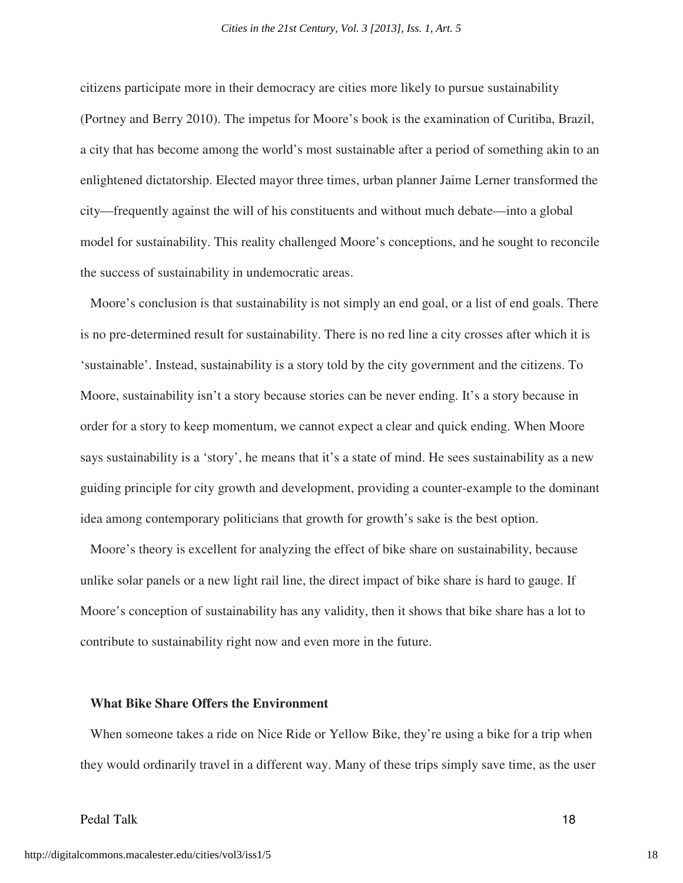citizens participate more in their democracy are cities more likely to pursue sustainability (Portney and Berry 2010). The impetus for Moore's book is the examination of Curitiba, Brazil, a city that has become among the world's most sustainable after a period of something akin to an enlightened dictatorship. Elected mayor three times, urban planner Jaime Lerner transformed the city—frequently against the will of his constituents and without much debate—into a global model for sustainability. This reality challenged Moore's conceptions, and he sought to reconcile the success of sustainability in undemocratic areas.

 Moore's conclusion is that sustainability is not simply an end goal, or a list of end goals. There is no pre-determined result for sustainability. There is no red line a city crosses after which it is 'sustainable'. Instead, sustainability is a story told by the city government and the citizens. To Moore, sustainability isn't a story because stories can be never ending. It's a story because in order for a story to keep momentum, we cannot expect a clear and quick ending. When Moore says sustainability is a 'story', he means that it's a state of mind. He sees sustainability as a new guiding principle for city growth and development, providing a counter-example to the dominant idea among contemporary politicians that growth for growth's sake is the best option.

 Moore's theory is excellent for analyzing the effect of bike share on sustainability, because unlike solar panels or a new light rail line, the direct impact of bike share is hard to gauge. If Moore's conception of sustainability has any validity, then it shows that bike share has a lot to contribute to sustainability right now and even more in the future.

#### **What Bike Share Offers the Environment**

When someone takes a ride on Nice Ride or Yellow Bike, they're using a bike for a trip when they would ordinarily travel in a different way. Many of these trips simply save time, as the user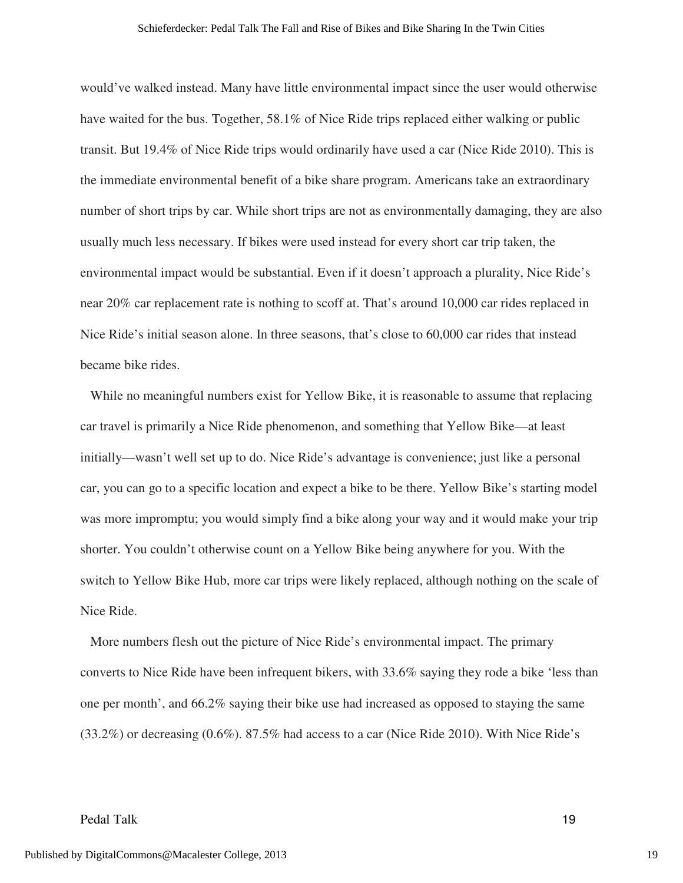would've walked instead. Many have little environmental impact since the user would otherwise have waited for the bus. Together, 58.1% of Nice Ride trips replaced either walking or public transit. But 19.4% of Nice Ride trips would ordinarily have used a car (Nice Ride 2010). This is the immediate environmental benefit of a bike share program. Americans take an extraordinary number of short trips by car. While short trips are not as environmentally damaging, they are also usually much less necessary. If bikes were used instead for every short car trip taken, the environmental impact would be substantial. Even if it doesn't approach a plurality, Nice Ride's near 20% car replacement rate is nothing to scoff at. That's around 10,000 car rides replaced in Nice Ride's initial season alone. In three seasons, that's close to 60,000 car rides that instead became bike rides.

 While no meaningful numbers exist for Yellow Bike, it is reasonable to assume that replacing car travel is primarily a Nice Ride phenomenon, and something that Yellow Bike—at least initially—wasn't well set up to do. Nice Ride's advantage is convenience; just like a personal car, you can go to a specific location and expect a bike to be there. Yellow Bike's starting model was more impromptu; you would simply find a bike along your way and it would make your trip shorter. You couldn't otherwise count on a Yellow Bike being anywhere for you. With the switch to Yellow Bike Hub, more car trips were likely replaced, although nothing on the scale of Nice Ride.

 More numbers flesh out the picture of Nice Ride's environmental impact. The primary converts to Nice Ride have been infrequent bikers, with 33.6% saying they rode a bike 'less than one per month', and 66.2% saying their bike use had increased as opposed to staying the same (33.2%) or decreasing (0.6%). 87.5% had access to a car (Nice Ride 2010). With Nice Ride's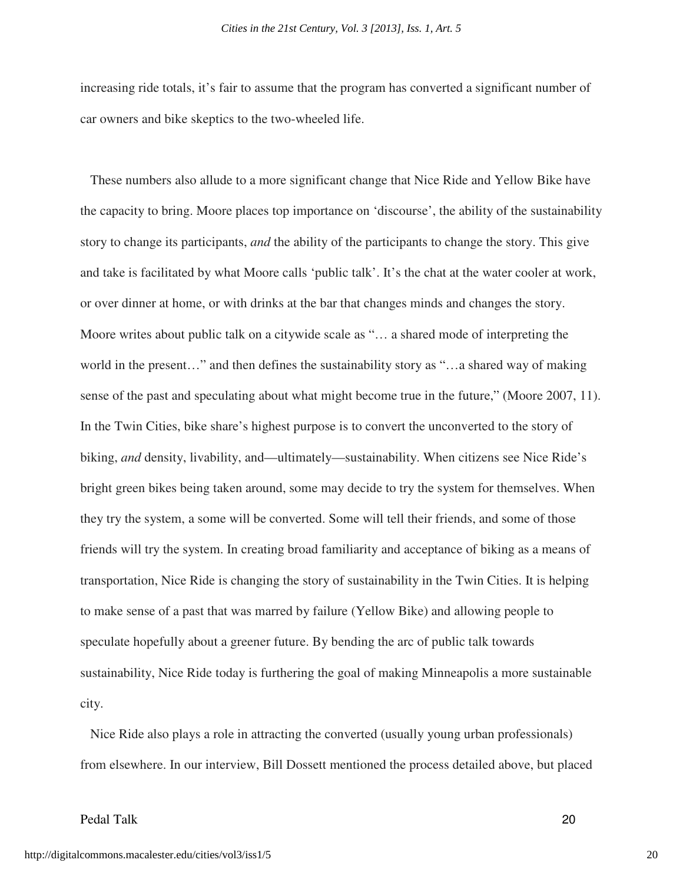increasing ride totals, it's fair to assume that the program has converted a significant number of car owners and bike skeptics to the two-wheeled life.

 These numbers also allude to a more significant change that Nice Ride and Yellow Bike have the capacity to bring. Moore places top importance on 'discourse', the ability of the sustainability story to change its participants, *and* the ability of the participants to change the story. This give and take is facilitated by what Moore calls 'public talk'. It's the chat at the water cooler at work, or over dinner at home, or with drinks at the bar that changes minds and changes the story. Moore writes about public talk on a citywide scale as "… a shared mode of interpreting the world in the present…" and then defines the sustainability story as "…a shared way of making sense of the past and speculating about what might become true in the future," (Moore 2007, 11). In the Twin Cities, bike share's highest purpose is to convert the unconverted to the story of biking, *and* density, livability, and—ultimately—sustainability. When citizens see Nice Ride's bright green bikes being taken around, some may decide to try the system for themselves. When they try the system, a some will be converted. Some will tell their friends, and some of those friends will try the system. In creating broad familiarity and acceptance of biking as a means of transportation, Nice Ride is changing the story of sustainability in the Twin Cities. It is helping to make sense of a past that was marred by failure (Yellow Bike) and allowing people to speculate hopefully about a greener future. By bending the arc of public talk towards sustainability, Nice Ride today is furthering the goal of making Minneapolis a more sustainable city.

 Nice Ride also plays a role in attracting the converted (usually young urban professionals) from elsewhere. In our interview, Bill Dossett mentioned the process detailed above, but placed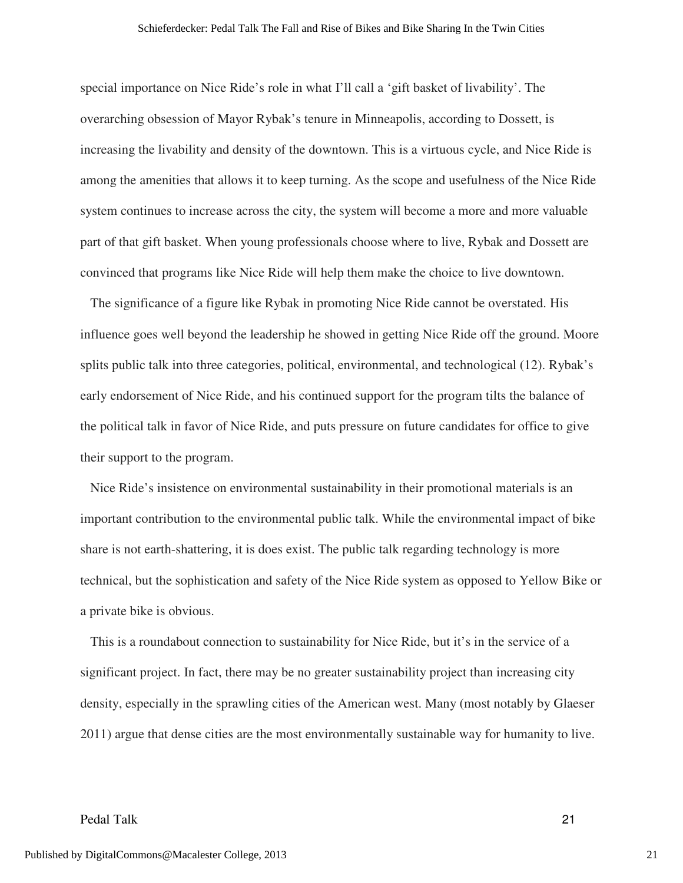special importance on Nice Ride's role in what I'll call a 'gift basket of livability'. The overarching obsession of Mayor Rybak's tenure in Minneapolis, according to Dossett, is increasing the livability and density of the downtown. This is a virtuous cycle, and Nice Ride is among the amenities that allows it to keep turning. As the scope and usefulness of the Nice Ride system continues to increase across the city, the system will become a more and more valuable part of that gift basket. When young professionals choose where to live, Rybak and Dossett are convinced that programs like Nice Ride will help them make the choice to live downtown.

 The significance of a figure like Rybak in promoting Nice Ride cannot be overstated. His influence goes well beyond the leadership he showed in getting Nice Ride off the ground. Moore splits public talk into three categories, political, environmental, and technological (12). Rybak's early endorsement of Nice Ride, and his continued support for the program tilts the balance of the political talk in favor of Nice Ride, and puts pressure on future candidates for office to give their support to the program.

 Nice Ride's insistence on environmental sustainability in their promotional materials is an important contribution to the environmental public talk. While the environmental impact of bike share is not earth-shattering, it is does exist. The public talk regarding technology is more technical, but the sophistication and safety of the Nice Ride system as opposed to Yellow Bike or a private bike is obvious.

 This is a roundabout connection to sustainability for Nice Ride, but it's in the service of a significant project. In fact, there may be no greater sustainability project than increasing city density, especially in the sprawling cities of the American west. Many (most notably by Glaeser 2011) argue that dense cities are the most environmentally sustainable way for humanity to live.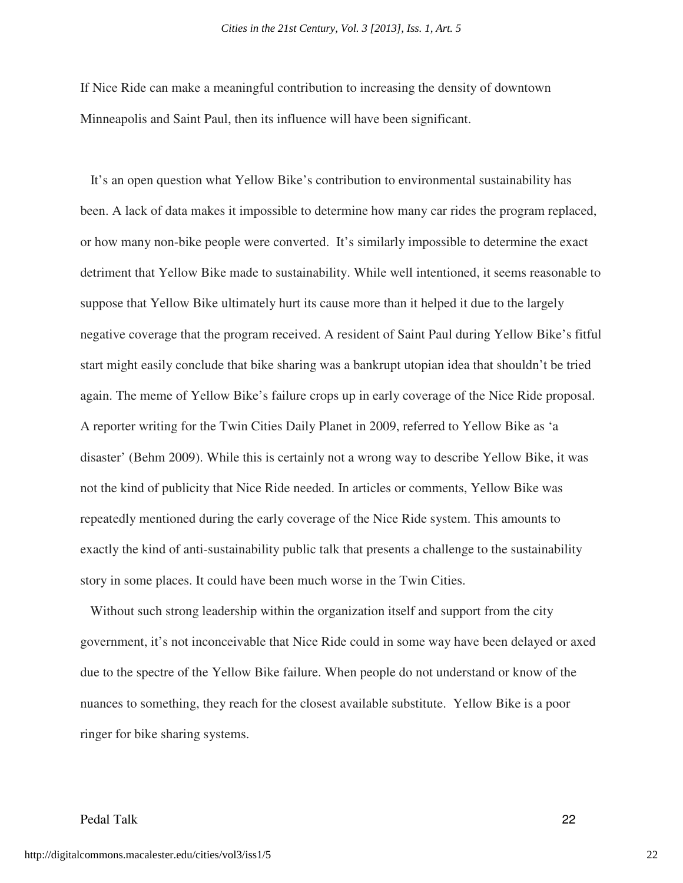If Nice Ride can make a meaningful contribution to increasing the density of downtown Minneapolis and Saint Paul, then its influence will have been significant.

 It's an open question what Yellow Bike's contribution to environmental sustainability has been. A lack of data makes it impossible to determine how many car rides the program replaced, or how many non-bike people were converted. It's similarly impossible to determine the exact detriment that Yellow Bike made to sustainability. While well intentioned, it seems reasonable to suppose that Yellow Bike ultimately hurt its cause more than it helped it due to the largely negative coverage that the program received. A resident of Saint Paul during Yellow Bike's fitful start might easily conclude that bike sharing was a bankrupt utopian idea that shouldn't be tried again. The meme of Yellow Bike's failure crops up in early coverage of the Nice Ride proposal. A reporter writing for the Twin Cities Daily Planet in 2009, referred to Yellow Bike as 'a disaster' (Behm 2009). While this is certainly not a wrong way to describe Yellow Bike, it was not the kind of publicity that Nice Ride needed. In articles or comments, Yellow Bike was repeatedly mentioned during the early coverage of the Nice Ride system. This amounts to exactly the kind of anti-sustainability public talk that presents a challenge to the sustainability story in some places. It could have been much worse in the Twin Cities.

 Without such strong leadership within the organization itself and support from the city government, it's not inconceivable that Nice Ride could in some way have been delayed or axed due to the spectre of the Yellow Bike failure. When people do not understand or know of the nuances to something, they reach for the closest available substitute. Yellow Bike is a poor ringer for bike sharing systems.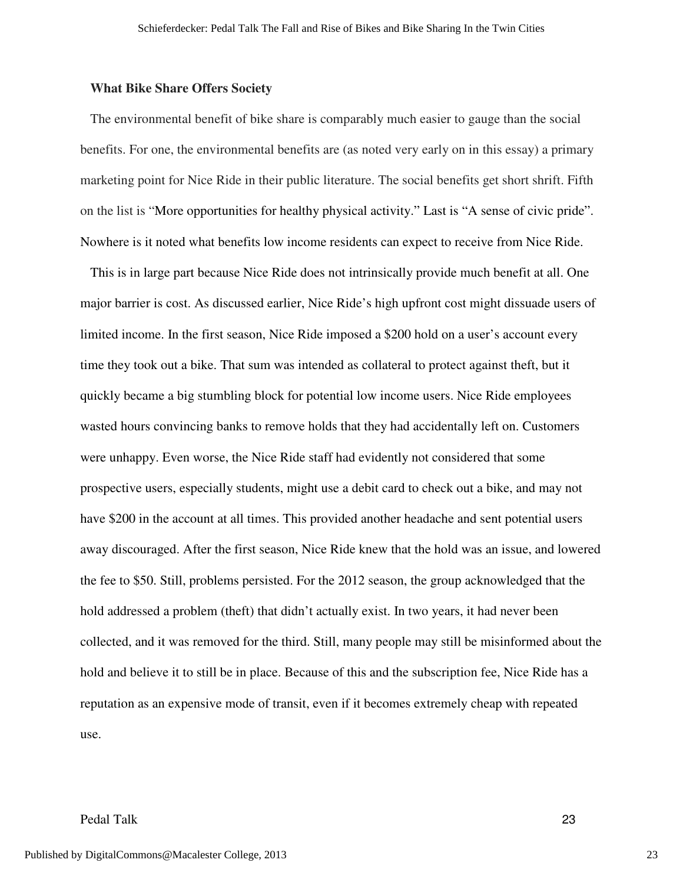#### **What Bike Share Offers Society**

The environmental benefit of bike share is comparably much easier to gauge than the social benefits. For one, the environmental benefits are (as noted very early on in this essay) a primary marketing point for Nice Ride in their public literature. The social benefits get short shrift. Fifth on the list is "More opportunities for healthy physical activity." Last is "A sense of civic pride". Nowhere is it noted what benefits low income residents can expect to receive from Nice Ride.

 This is in large part because Nice Ride does not intrinsically provide much benefit at all. One major barrier is cost. As discussed earlier, Nice Ride's high upfront cost might dissuade users of limited income. In the first season, Nice Ride imposed a \$200 hold on a user's account every time they took out a bike. That sum was intended as collateral to protect against theft, but it quickly became a big stumbling block for potential low income users. Nice Ride employees wasted hours convincing banks to remove holds that they had accidentally left on. Customers were unhappy. Even worse, the Nice Ride staff had evidently not considered that some prospective users, especially students, might use a debit card to check out a bike, and may not have \$200 in the account at all times. This provided another headache and sent potential users away discouraged. After the first season, Nice Ride knew that the hold was an issue, and lowered the fee to \$50. Still, problems persisted. For the 2012 season, the group acknowledged that the hold addressed a problem (theft) that didn't actually exist. In two years, it had never been collected, and it was removed for the third. Still, many people may still be misinformed about the hold and believe it to still be in place. Because of this and the subscription fee, Nice Ride has a reputation as an expensive mode of transit, even if it becomes extremely cheap with repeated use.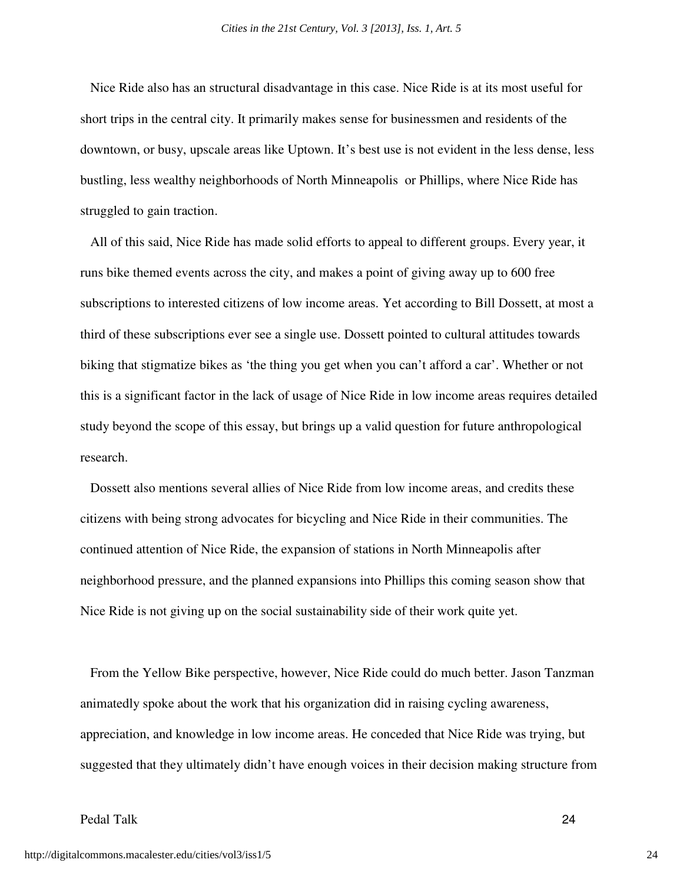Nice Ride also has an structural disadvantage in this case. Nice Ride is at its most useful for short trips in the central city. It primarily makes sense for businessmen and residents of the downtown, or busy, upscale areas like Uptown. It's best use is not evident in the less dense, less bustling, less wealthy neighborhoods of North Minneapolis or Phillips, where Nice Ride has struggled to gain traction.

 All of this said, Nice Ride has made solid efforts to appeal to different groups. Every year, it runs bike themed events across the city, and makes a point of giving away up to 600 free subscriptions to interested citizens of low income areas. Yet according to Bill Dossett, at most a third of these subscriptions ever see a single use. Dossett pointed to cultural attitudes towards biking that stigmatize bikes as 'the thing you get when you can't afford a car'. Whether or not this is a significant factor in the lack of usage of Nice Ride in low income areas requires detailed study beyond the scope of this essay, but brings up a valid question for future anthropological research.

 Dossett also mentions several allies of Nice Ride from low income areas, and credits these citizens with being strong advocates for bicycling and Nice Ride in their communities. The continued attention of Nice Ride, the expansion of stations in North Minneapolis after neighborhood pressure, and the planned expansions into Phillips this coming season show that Nice Ride is not giving up on the social sustainability side of their work quite yet.

 From the Yellow Bike perspective, however, Nice Ride could do much better. Jason Tanzman animatedly spoke about the work that his organization did in raising cycling awareness, appreciation, and knowledge in low income areas. He conceded that Nice Ride was trying, but suggested that they ultimately didn't have enough voices in their decision making structure from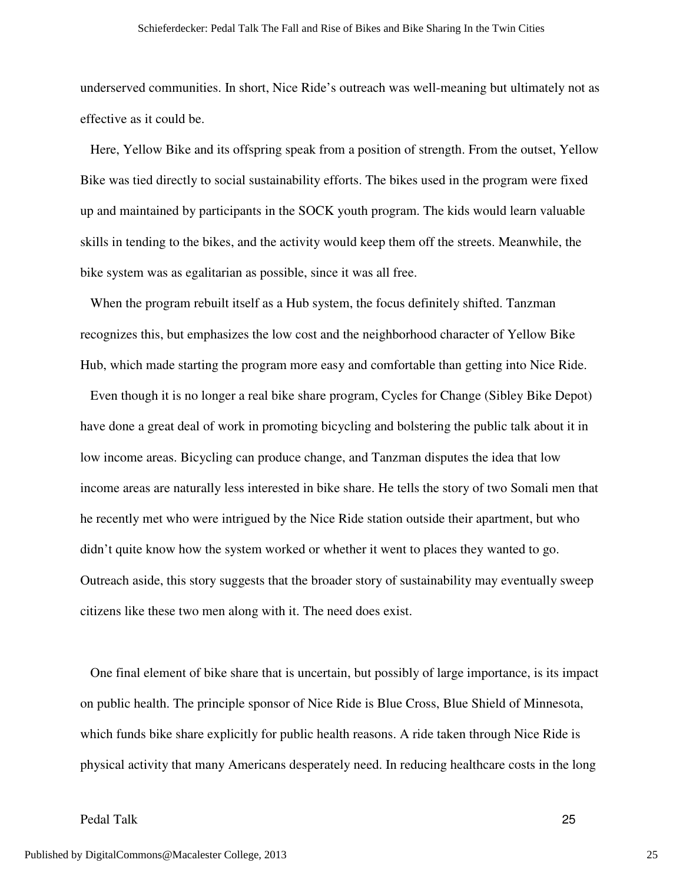underserved communities. In short, Nice Ride's outreach was well-meaning but ultimately not as effective as it could be.

 Here, Yellow Bike and its offspring speak from a position of strength. From the outset, Yellow Bike was tied directly to social sustainability efforts. The bikes used in the program were fixed up and maintained by participants in the SOCK youth program. The kids would learn valuable skills in tending to the bikes, and the activity would keep them off the streets. Meanwhile, the bike system was as egalitarian as possible, since it was all free.

 When the program rebuilt itself as a Hub system, the focus definitely shifted. Tanzman recognizes this, but emphasizes the low cost and the neighborhood character of Yellow Bike Hub, which made starting the program more easy and comfortable than getting into Nice Ride.

 Even though it is no longer a real bike share program, Cycles for Change (Sibley Bike Depot) have done a great deal of work in promoting bicycling and bolstering the public talk about it in low income areas. Bicycling can produce change, and Tanzman disputes the idea that low income areas are naturally less interested in bike share. He tells the story of two Somali men that he recently met who were intrigued by the Nice Ride station outside their apartment, but who didn't quite know how the system worked or whether it went to places they wanted to go. Outreach aside, this story suggests that the broader story of sustainability may eventually sweep citizens like these two men along with it. The need does exist.

 One final element of bike share that is uncertain, but possibly of large importance, is its impact on public health. The principle sponsor of Nice Ride is Blue Cross, Blue Shield of Minnesota, which funds bike share explicitly for public health reasons. A ride taken through Nice Ride is physical activity that many Americans desperately need. In reducing healthcare costs in the long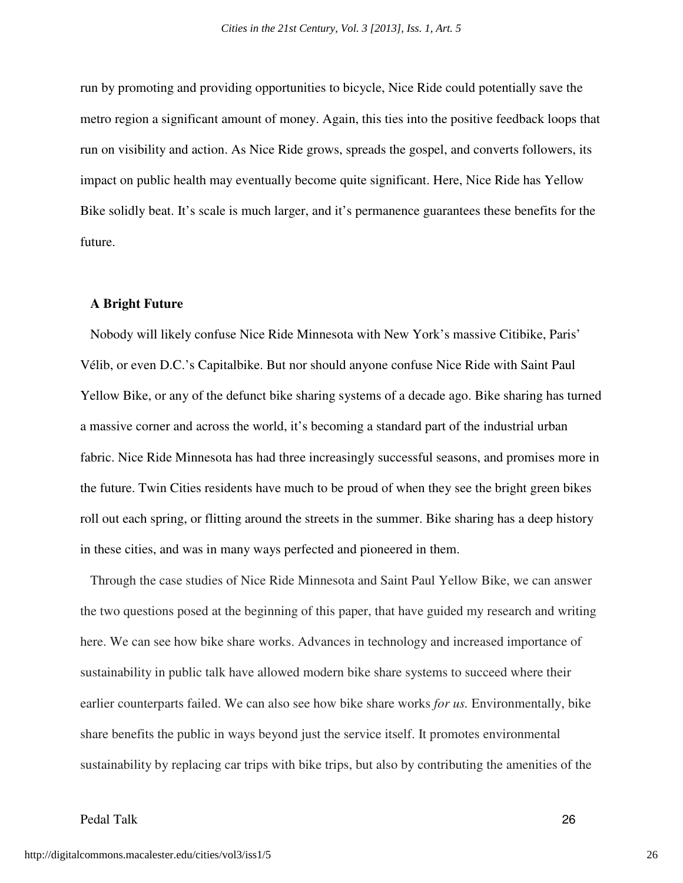run by promoting and providing opportunities to bicycle, Nice Ride could potentially save the metro region a significant amount of money. Again, this ties into the positive feedback loops that run on visibility and action. As Nice Ride grows, spreads the gospel, and converts followers, its impact on public health may eventually become quite significant. Here, Nice Ride has Yellow Bike solidly beat. It's scale is much larger, and it's permanence guarantees these benefits for the future.

#### **A Bright Future**

Nobody will likely confuse Nice Ride Minnesota with New York's massive Citibike, Paris' Vélib, or even D.C.'s Capitalbike. But nor should anyone confuse Nice Ride with Saint Paul Yellow Bike, or any of the defunct bike sharing systems of a decade ago. Bike sharing has turned a massive corner and across the world, it's becoming a standard part of the industrial urban fabric. Nice Ride Minnesota has had three increasingly successful seasons, and promises more in the future. Twin Cities residents have much to be proud of when they see the bright green bikes roll out each spring, or flitting around the streets in the summer. Bike sharing has a deep history in these cities, and was in many ways perfected and pioneered in them.

Through the case studies of Nice Ride Minnesota and Saint Paul Yellow Bike, we can answer the two questions posed at the beginning of this paper, that have guided my research and writing here. We can see how bike share works. Advances in technology and increased importance of sustainability in public talk have allowed modern bike share systems to succeed where their earlier counterparts failed. We can also see how bike share works *for us.* Environmentally, bike share benefits the public in ways beyond just the service itself. It promotes environmental sustainability by replacing car trips with bike trips, but also by contributing the amenities of the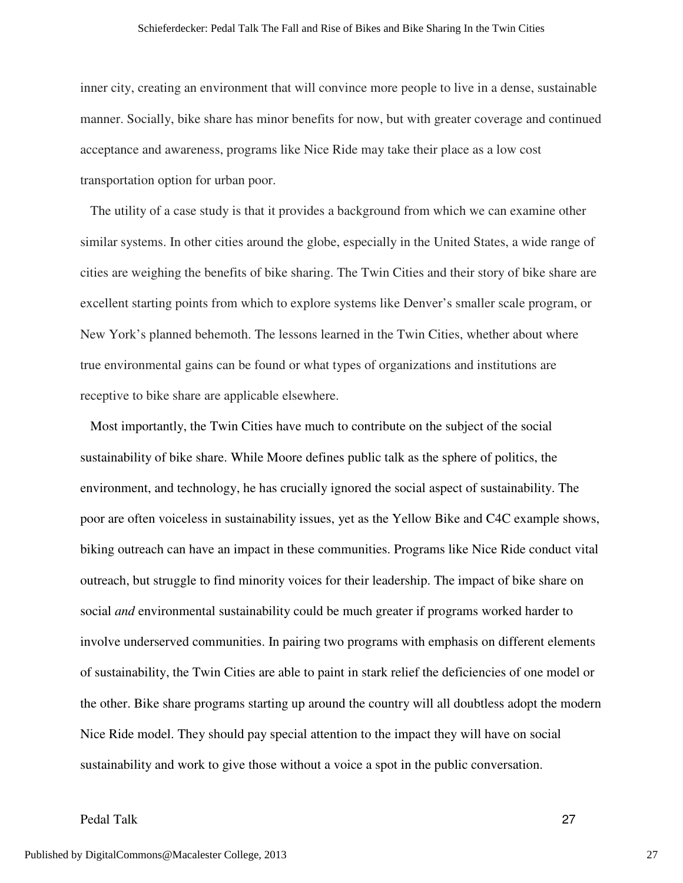inner city, creating an environment that will convince more people to live in a dense, sustainable manner. Socially, bike share has minor benefits for now, but with greater coverage and continued acceptance and awareness, programs like Nice Ride may take their place as a low cost transportation option for urban poor.

 The utility of a case study is that it provides a background from which we can examine other similar systems. In other cities around the globe, especially in the United States, a wide range of cities are weighing the benefits of bike sharing. The Twin Cities and their story of bike share are excellent starting points from which to explore systems like Denver's smaller scale program, or New York's planned behemoth. The lessons learned in the Twin Cities, whether about where true environmental gains can be found or what types of organizations and institutions are receptive to bike share are applicable elsewhere.

 Most importantly, the Twin Cities have much to contribute on the subject of the social sustainability of bike share. While Moore defines public talk as the sphere of politics, the environment, and technology, he has crucially ignored the social aspect of sustainability. The poor are often voiceless in sustainability issues, yet as the Yellow Bike and C4C example shows, biking outreach can have an impact in these communities. Programs like Nice Ride conduct vital outreach, but struggle to find minority voices for their leadership. The impact of bike share on social *and* environmental sustainability could be much greater if programs worked harder to involve underserved communities. In pairing two programs with emphasis on different elements of sustainability, the Twin Cities are able to paint in stark relief the deficiencies of one model or the other. Bike share programs starting up around the country will all doubtless adopt the modern Nice Ride model. They should pay special attention to the impact they will have on social sustainability and work to give those without a voice a spot in the public conversation.

## Pedal Talk 27

27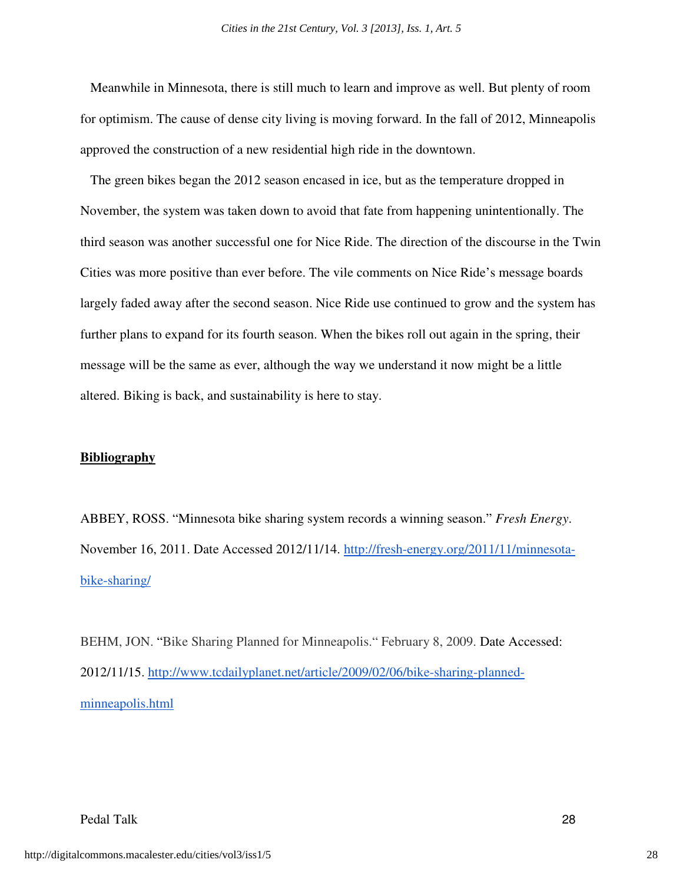Meanwhile in Minnesota, there is still much to learn and improve as well. But plenty of room for optimism. The cause of dense city living is moving forward. In the fall of 2012, Minneapolis approved the construction of a new residential high ride in the downtown.

 The green bikes began the 2012 season encased in ice, but as the temperature dropped in November, the system was taken down to avoid that fate from happening unintentionally. The third season was another successful one for Nice Ride. The direction of the discourse in the Twin Cities was more positive than ever before. The vile comments on Nice Ride's message boards largely faded away after the second season. Nice Ride use continued to grow and the system has further plans to expand for its fourth season. When the bikes roll out again in the spring, their message will be the same as ever, although the way we understand it now might be a little altered. Biking is back, and sustainability is here to stay.

#### **Bibliography**

ABBEY, ROSS. "Minnesota bike sharing system records a winning season." *Fresh Energy*. November 16, 2011. Date Accessed 2012/11/14. http://fresh-energy.org/2011/11/minnesotabike-sharing/

BEHM, JON. "Bike Sharing Planned for Minneapolis." February 8, 2009. Date Accessed: 2012/11/15. http://www.tcdailyplanet.net/article/2009/02/06/bike-sharing-plannedminneapolis.html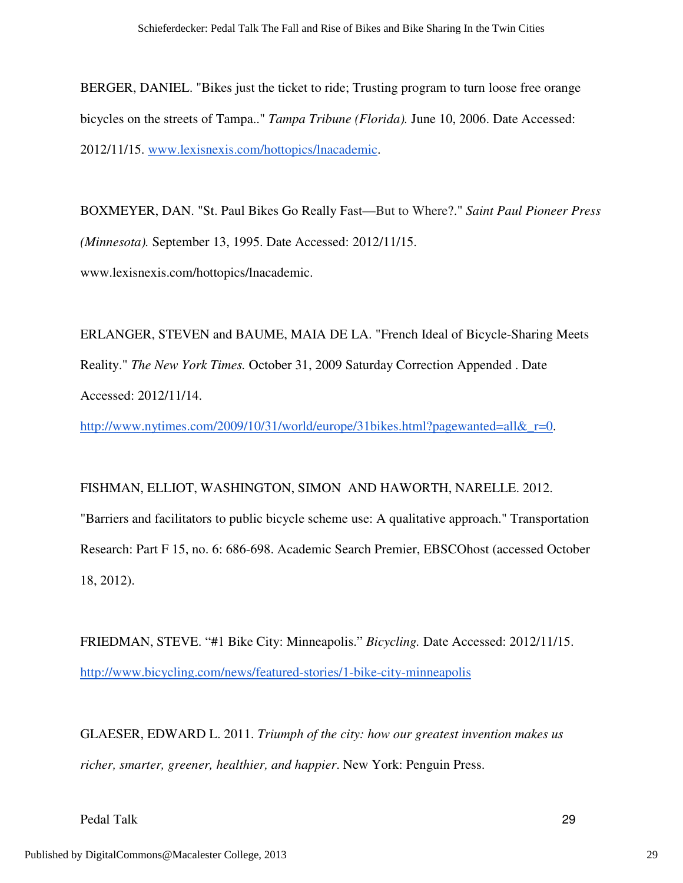BERGER, DANIEL. "Bikes just the ticket to ride; Trusting program to turn loose free orange bicycles on the streets of Tampa.." *Tampa Tribune (Florida).* June 10, 2006. Date Accessed: 2012/11/15. www.lexisnexis.com/hottopics/lnacademic.

BOXMEYER, DAN. "St. Paul Bikes Go Really Fast—But to Where?." *Saint Paul Pioneer Press (Minnesota).* September 13, 1995. Date Accessed: 2012/11/15. www.lexisnexis.com/hottopics/lnacademic.

ERLANGER, STEVEN and BAUME, MAIA DE LA. "French Ideal of Bicycle-Sharing Meets Reality." *The New York Times.* October 31, 2009 Saturday Correction Appended . Date Accessed: 2012/11/14.

http://www.nytimes.com/2009/10/31/world/europe/31bikes.html?pagewanted=all&\_r=0.

FISHMAN, ELLIOT, WASHINGTON, SIMON AND HAWORTH, NARELLE. 2012. "Barriers and facilitators to public bicycle scheme use: A qualitative approach." Transportation Research: Part F 15, no. 6: 686-698. Academic Search Premier, EBSCOhost (accessed October 18, 2012).

FRIEDMAN, STEVE. "#1 Bike City: Minneapolis." *Bicycling.* Date Accessed: 2012/11/15. http://www.bicycling.com/news/featured-stories/1-bike-city-minneapolis

GLAESER, EDWARD L. 2011. *Triumph of the city: how our greatest invention makes us richer, smarter, greener, healthier, and happier*. New York: Penguin Press.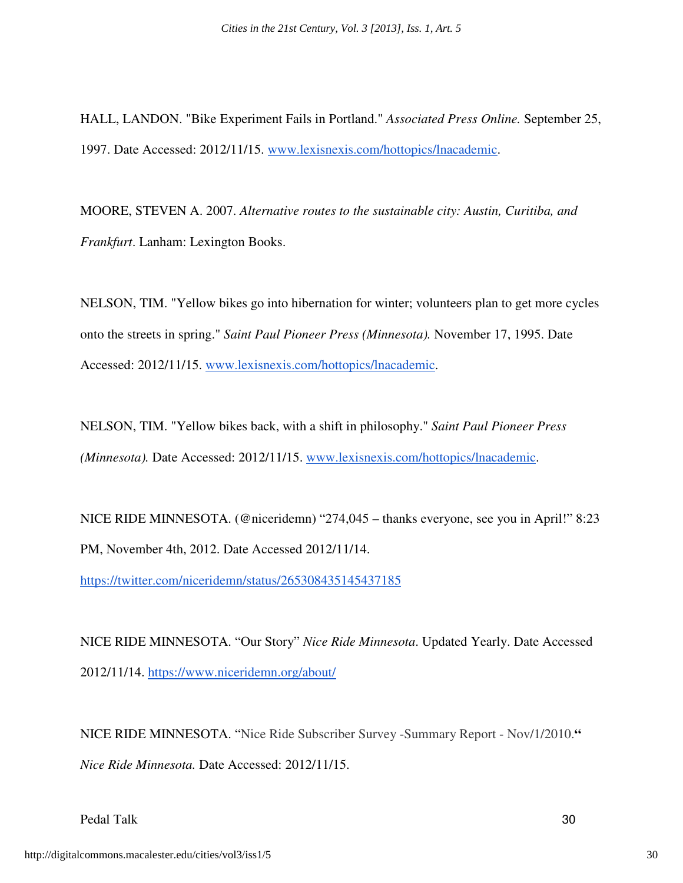HALL, LANDON. "Bike Experiment Fails in Portland." *Associated Press Online.* September 25, 1997. Date Accessed: 2012/11/15. www.lexisnexis.com/hottopics/lnacademic.

MOORE, STEVEN A. 2007. *Alternative routes to the sustainable city: Austin, Curitiba, and Frankfurt*. Lanham: Lexington Books.

NELSON, TIM. "Yellow bikes go into hibernation for winter; volunteers plan to get more cycles onto the streets in spring." *Saint Paul Pioneer Press (Minnesota).* November 17, 1995. Date Accessed: 2012/11/15. www.lexisnexis.com/hottopics/lnacademic.

NELSON, TIM. "Yellow bikes back, with a shift in philosophy." *Saint Paul Pioneer Press (Minnesota).* Date Accessed: 2012/11/15. www.lexisnexis.com/hottopics/lnacademic.

NICE RIDE MINNESOTA. (@niceridemn) "274,045 – thanks everyone, see you in April!" 8:23 PM, November 4th, 2012. Date Accessed 2012/11/14.

https://twitter.com/niceridemn/status/265308435145437185

NICE RIDE MINNESOTA. "Our Story" *Nice Ride Minnesota*. Updated Yearly. Date Accessed 2012/11/14. https://www.niceridemn.org/about/

NICE RIDE MINNESOTA. "Nice Ride Subscriber Survey -Summary Report - Nov/1/2010.**"**  *Nice Ride Minnesota.* Date Accessed: 2012/11/15.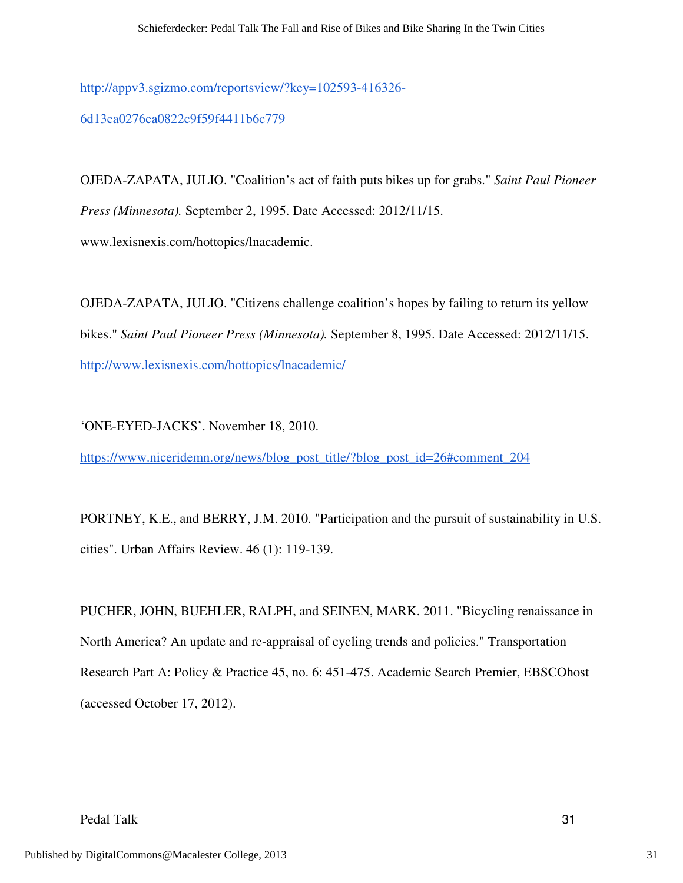http://appv3.sgizmo.com/reportsview/?key=102593-416326-

6d13ea0276ea0822c9f59f4411b6c779

OJEDA-ZAPATA, JULIO. "Coalition's act of faith puts bikes up for grabs." *Saint Paul Pioneer Press (Minnesota).* September 2, 1995. Date Accessed: 2012/11/15. www.lexisnexis.com/hottopics/lnacademic.

OJEDA-ZAPATA, JULIO. "Citizens challenge coalition's hopes by failing to return its yellow bikes." *Saint Paul Pioneer Press (Minnesota).* September 8, 1995. Date Accessed: 2012/11/15. http://www.lexisnexis.com/hottopics/lnacademic/

'ONE-EYED-JACKS'. November 18, 2010.

https://www.niceridemn.org/news/blog\_post\_title/?blog\_post\_id=26#comment\_204

PORTNEY, K.E., and BERRY, J.M. 2010. "Participation and the pursuit of sustainability in U.S. cities". Urban Affairs Review. 46 (1): 119-139.

PUCHER, JOHN, BUEHLER, RALPH, and SEINEN, MARK. 2011. "Bicycling renaissance in North America? An update and re-appraisal of cycling trends and policies." Transportation Research Part A: Policy & Practice 45, no. 6: 451-475. Academic Search Premier, EBSCOhost (accessed October 17, 2012).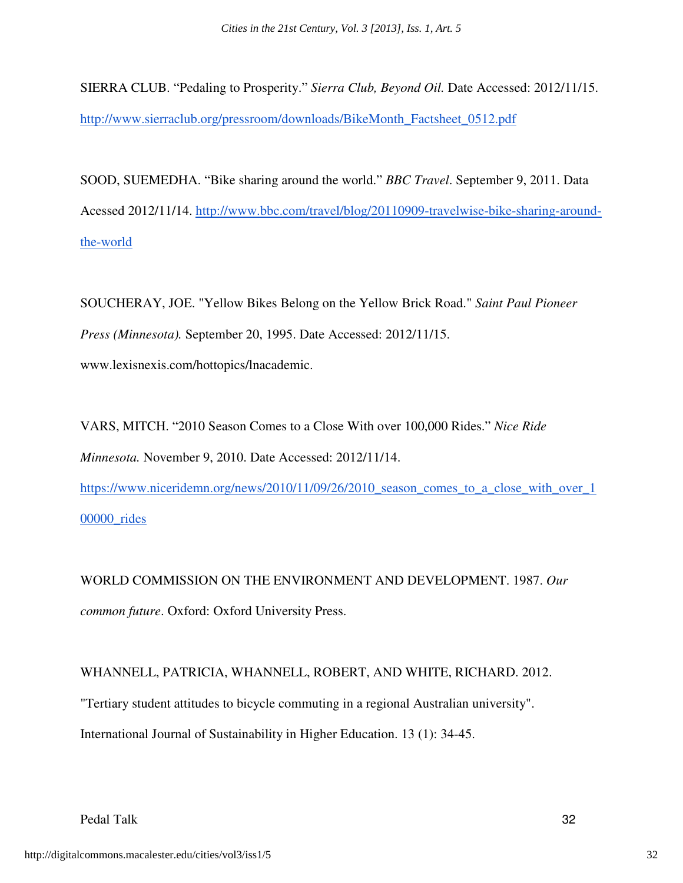SIERRA CLUB. "Pedaling to Prosperity." *Sierra Club, Beyond Oil.* Date Accessed: 2012/11/15. http://www.sierraclub.org/pressroom/downloads/BikeMonth\_Factsheet\_0512.pdf

SOOD, SUEMEDHA. "Bike sharing around the world." *BBC Travel*. September 9, 2011. Data Acessed 2012/11/14. http://www.bbc.com/travel/blog/20110909-travelwise-bike-sharing-aroundthe-world

SOUCHERAY, JOE. "Yellow Bikes Belong on the Yellow Brick Road." *Saint Paul Pioneer Press (Minnesota).* September 20, 1995. Date Accessed: 2012/11/15. www.lexisnexis.com/hottopics/lnacademic.

VARS, MITCH. "2010 Season Comes to a Close With over 100,000 Rides." *Nice Ride Minnesota.* November 9, 2010. Date Accessed: 2012/11/14. https://www.niceridemn.org/news/2010/11/09/26/2010\_season\_comes\_to\_a\_close\_with\_over\_1

00000\_rides

WORLD COMMISSION ON THE ENVIRONMENT AND DEVELOPMENT. 1987. *Our common future*. Oxford: Oxford University Press.

WHANNELL, PATRICIA, WHANNELL, ROBERT, AND WHITE, RICHARD. 2012. "Tertiary student attitudes to bicycle commuting in a regional Australian university". International Journal of Sustainability in Higher Education. 13 (1): 34-45.